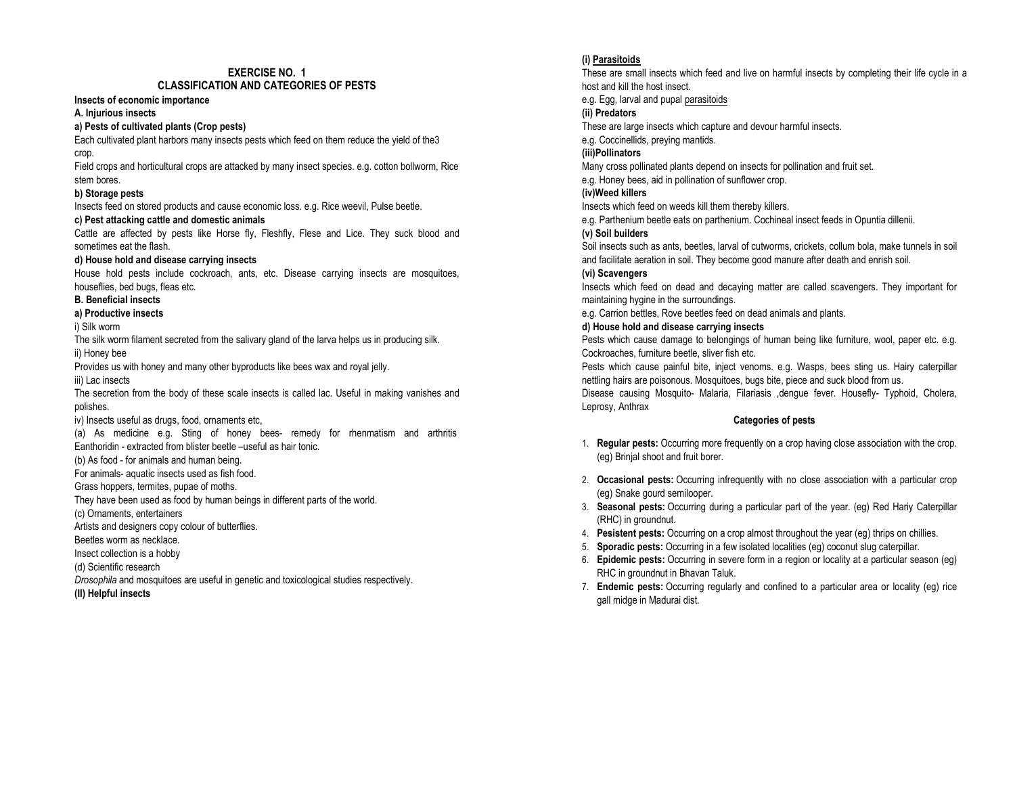# EXERCISE NO. 1

## CLASSIFICATION AND CATEGORIES OF PESTS

#### Insects of economic importance

## A. Injurious insects

## a) Pests of cultivated plants (Crop pests)

Each cultivated plant harbors many insects pests which feed on them reduce the yield of the3

crop.

 Field crops and horticultural crops are attacked by many insect species. e.g. cotton bollworm, Rice stem bores.

## b) Storage pests

Insects feed on stored products and cause economic loss. e.g. Rice weevil, Pulse beetle.

## c) Pest attacking cattle and domestic animals

 Cattle are affected by pests like Horse fly, Fleshfly, Flese and Lice. They suck blood and sometimes eat the flash.

## d) House hold and disease carrying insects

House hold pests include cockroach, ants, etc. Disease carrying insects are mosquitoes, houseflies, bed bugs, fleas etc.

## B. Beneficial insects

# a) Productive insects

i) Silk worm

 The silk worm filament secreted from the salivary gland of the larva helps us in producing silk. ii) Honey bee

Provides us with honey and many other byproducts like bees wax and royal jelly.

iii) Lac insects

 The secretion from the body of these scale insects is called lac. Useful in making vanishes and polishes.

iv) Insects useful as drugs, food, ornaments etc,

(a) As medicine e.g. Sting of honey bees- remedy for rhenmatism and arthritis Eanthoridin - extracted from blister beetle –useful as hair tonic.

(b) As food - for animals and human being.

For animals- aquatic insects used as fish food.

Grass hoppers, termites, pupae of moths.

They have been used as food by human beings in different parts of the world.

(c) Ornaments, entertainers

Artists and designers copy colour of butterflies.

Beetles worm as necklace.

Insect collection is a hobby

(d) Scientific research

Drosophila and mosquitoes are useful in genetic and toxicological studies respectively.

(II) Helpful insects

# (i) Parasitoids

 These are small insects which feed and live on harmful insects by completing their life cycle in a host and kill the host insect.

e.g. Egg, larval and pupal parasitoids

# (ii) Predators

These are large insects which capture and devour harmful insects.

e.g. Coccinellids, preying mantids.

## (iii)Pollinators

Many cross pollinated plants depend on insects for pollination and fruit set.

e.g. Honey bees, aid in pollination of sunflower crop.

## (iv)Weed killers

Insects which feed on weeds kill them thereby killers.

e.g. Parthenium beetle eats on parthenium. Cochineal insect feeds in Opuntia dillenii.

## (v) Soil builders

 Soil insects such as ants, beetles, larval of cutworms, crickets, collum bola, make tunnels in soil and facilitate aeration in soil. They become good manure after death and enrish soil.

## (vi) Scavengers

Insects which feed on dead and decaying matter are called scavengers. They important for maintaining hygine in the surroundings.

e.g. Carrion bettles, Rove beetles feed on dead animals and plants.

## d) House hold and disease carrying insects

Pests which cause damage to belongings of human being like furniture, wool, paper etc. e.g. Cockroaches, furniture beetle, sliver fish etc.

 Pests which cause painful bite, inject venoms. e.g. Wasps, bees sting us. Hairy caterpillar nettling hairs are poisonous. Mosquitoes, bugs bite, piece and suck blood from us.

 Disease causing Mosquito- Malaria, Filariasis ,dengue fever. Housefly- Typhoid, Cholera, Leprosy, Anthrax

## Categories of pests

- 1. **Regular pests:** Occurring more frequently on a crop having close association with the crop. (eg) Brinjal shoot and fruit borer.
- 2. Occasional pests: Occurring infrequently with no close association with a particular crop (eg) Snake gourd semilooper.
- 3. Seasonal pests: Occurring during a particular part of the year. (eg) Red Hariy Caterpillar (RHC) in groundnut.
- 4. Pesistent pests: Occurring on a crop almost throughout the year (eg) thrips on chillies.
- 5. Sporadic pests: Occurring in a few isolated localities (eg) coconut slug caterpillar.
- 6. Epidemic pests: Occurring in severe form in a region or locality at a particular season (eg) RHC in groundnut in Bhavan Taluk.
- 7. Endemic pests: Occurring regularly and confined to a particular area or locality (eg) rice gall midge in Madurai dist.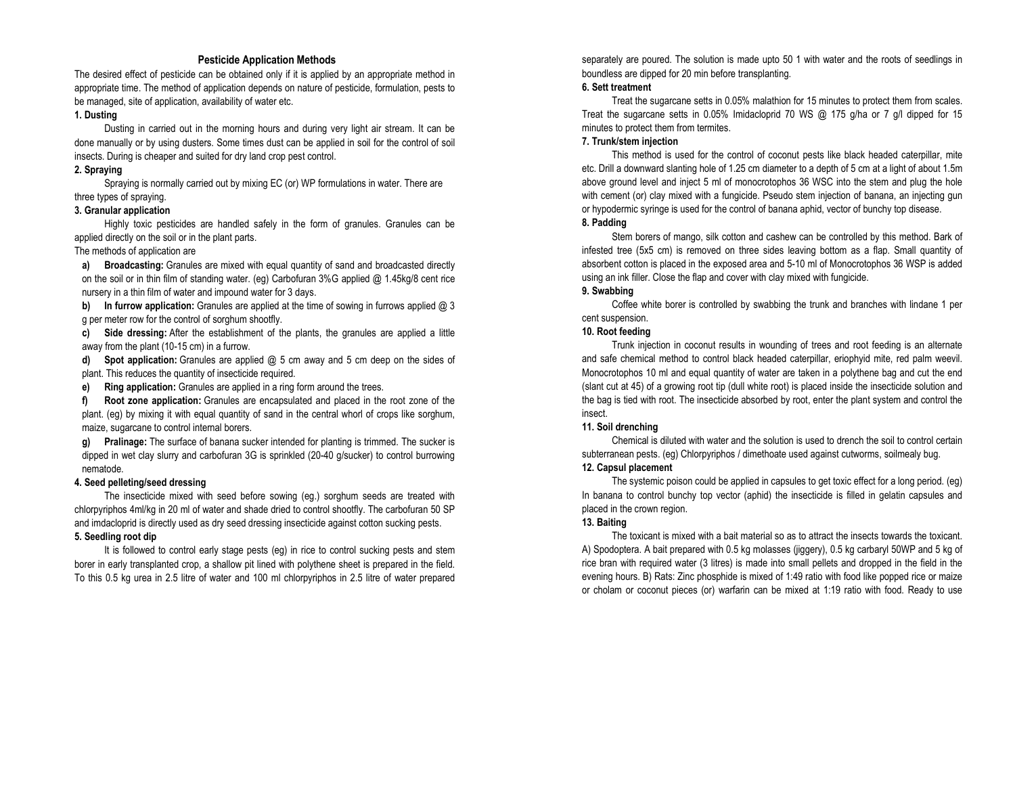## Pesticide Application Methods

 The desired effect of pesticide can be obtained only if it is applied by an appropriate method in appropriate time. The method of application depends on nature of pesticide, formulation, pests to be managed, site of application, availability of water etc.

#### 1. Dusting

Dusting in carried out in the morning hours and during very light air stream. It can be done manually or by using dusters. Some times dust can be applied in soil for the control of soil insects. During is cheaper and suited for dry land crop pest control.

#### 2. Spraying

Spraying is normally carried out by mixing EC (or) WP formulations in water. There are three types of spraying.

#### 3. Granular application

Highly toxic pesticides are handled safely in the form of granules. Granules can be applied directly on the soil or in the plant parts.

## The methods of application are

a) Broadcasting: Granules are mixed with equal quantity of sand and broadcasted directly on the soil or in thin film of standing water. (eg) Carbofuran 3%G applied @ 1.45kg/8 cent rice nursery in a thin film of water and impound water for 3 days.

b) In furrow application: Granules are applied at the time of sowing in furrows applied @ 3 g per meter row for the control of sorghum shootfly.

c) Side dressing: After the establishment of the plants, the granules are applied a little away from the plant (10-15 cm) in a furrow.

d)Spot application: Granules are applied @ 5 cm away and 5 cm deep on the sides of plant. This reduces the quantity of insecticide required.

e)Ring application: Granules are applied in a ring form around the trees.

f) Root zone application: Granules are encapsulated and placed in the root zone of the plant. (eg) by mixing it with equal quantity of sand in the central whorl of crops like sorghum, maize, sugarcane to control internal borers.

g) Pralinage: The surface of banana sucker intended for planting is trimmed. The sucker is dipped in wet clay slurry and carbofuran 3G is sprinkled (20-40 g/sucker) to control burrowing nematode.

#### 4. Seed pelleting/seed dressing

 The insecticide mixed with seed before sowing (eg.) sorghum seeds are treated with chlorpyriphos 4ml/kg in 20 ml of water and shade dried to control shootfly. The carbofuran 50 SP and imdacloprid is directly used as dry seed dressing insecticide against cotton sucking pests.

## 5. Seedling root dip

 It is followed to control early stage pests (eg) in rice to control sucking pests and stem borer in early transplanted crop, a shallow pit lined with polythene sheet is prepared in the field. To this 0.5 kg urea in 2.5 litre of water and 100 ml chlorpyriphos in 2.5 litre of water prepared separately are poured. The solution is made upto 50 1 with water and the roots of seedlings in boundless are dipped for 20 min before transplanting.

#### 6. Sett treatment

 Treat the sugarcane setts in 0.05% malathion for 15 minutes to protect them from scales. Treat the sugarcane setts in 0.05% Imidacloprid 70 WS @ 175 g/ha or 7 g/l dipped for 15 minutes to protect them from termites.

#### 7. Trunk/stem injection

 This method is used for the control of coconut pests like black headed caterpillar, mite etc. Drill a downward slanting hole of 1.25 cm diameter to a depth of 5 cm at a light of about 1.5m above ground level and inject 5 ml of monocrotophos 36 WSC into the stem and plug the hole with cement (or) clay mixed with a fungicide. Pseudo stem injection of banana, an injecting gun or hypodermic syringe is used for the control of banana aphid, vector of bunchy top disease. 8. Padding

Stem borers of mango, silk cotton and cashew can be controlled by this method. Bark of infested tree (5x5 cm) is removed on three sides leaving bottom as a flap. Small quantity of absorbent cotton is placed in the exposed area and 5-10 ml of Monocrotophos 36 WSP is added using an ink filler. Close the flap and cover with clay mixed with fungicide.

#### 9. Swabbing

 Coffee white borer is controlled by swabbing the trunk and branches with lindane 1 per cent suspension.

## 10. Root feeding

Trunk injection in coconut results in wounding of trees and root feeding is an alternate and safe chemical method to control black headed caterpillar, eriophyid mite, red palm weevil. Monocrotophos 10 ml and equal quantity of water are taken in a polythene bag and cut the end (slant cut at 45) of a growing root tip (dull white root) is placed inside the insecticide solution and the bag is tied with root. The insecticide absorbed by root, enter the plant system and control the insect.

#### 11. Soil drenching

Chemical is diluted with water and the solution is used to drench the soil to control certain subterranean pests. (eg) Chlorpyriphos / dimethoate used against cutworms, soilmealy bug.

## 12. Capsul placement

 The systemic poison could be applied in capsules to get toxic effect for a long period. (eg) In banana to control bunchy top vector (aphid) the insecticide is filled in gelatin capsules and placed in the crown region.

#### 13. Baiting

The toxicant is mixed with a bait material so as to attract the insects towards the toxicant. A) Spodoptera. A bait prepared with 0.5 kg molasses (jiggery), 0.5 kg carbaryl 50WP and 5 kg of rice bran with required water (3 litres) is made into small pellets and dropped in the field in the evening hours. B) Rats: Zinc phosphide is mixed of 1:49 ratio with food like popped rice or maize or cholam or coconut pieces (or) warfarin can be mixed at 1:19 ratio with food. Ready to use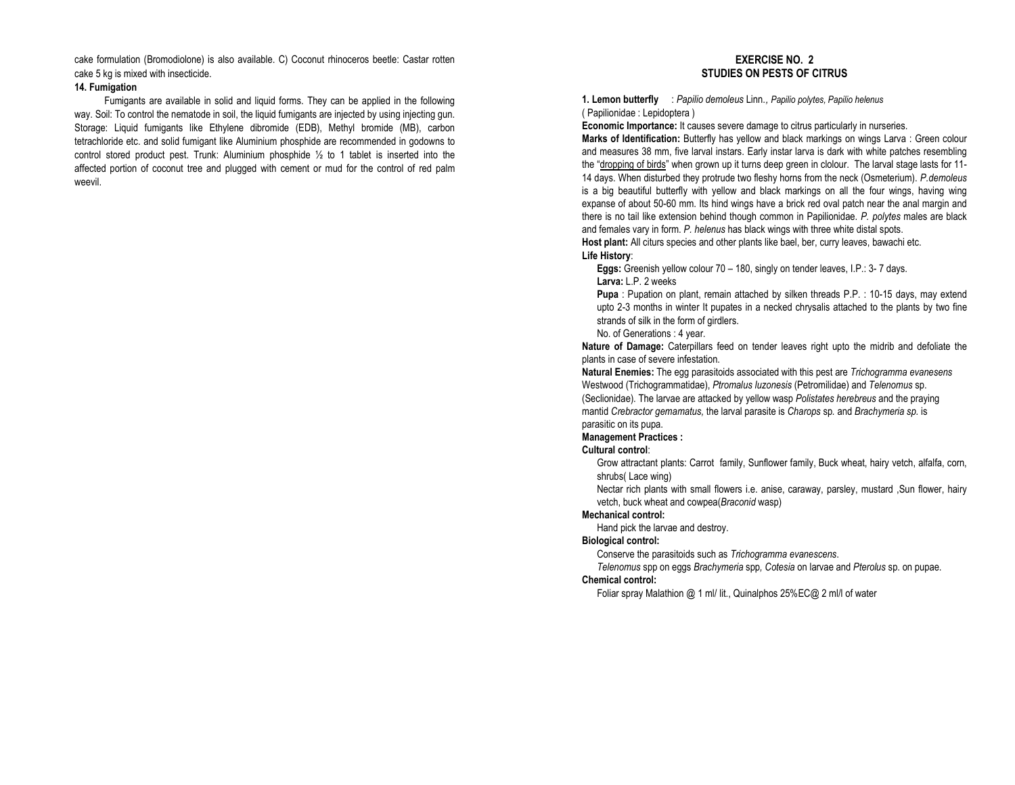cake formulation (Bromodiolone) is also available. C) Coconut rhinoceros beetle: Castar rotten cake 5 kg is mixed with insecticide.

#### 14. Fumigation

 Fumigants are available in solid and liquid forms. They can be applied in the following way. Soil: To control the nematode in soil, the liquid fumigants are injected by using injecting gun. Storage: Liquid fumigants like Ethylene dibromide (EDB), Methyl bromide (MB), carbon tetrachloride etc. and solid fumigant like Aluminium phosphide are recommended in godowns to control stored product pest. Trunk: Aluminium phosphide  $\frac{1}{2}$  to 1 tablet is inserted into the affected portion of coconut tree and plugged with cement or mud for the control of red palm weevil.

## EXERCISE NO. 2 STUDIES ON PESTS OF CITRUS

1. Lemon butterfly : Papilio demoleus Linn., Papilio polytes, Papilio helenus ( Papilionidae : Lepidoptera )

Economic Importance: It causes severe damage to citrus particularly in nurseries. Marks of Identification: Butterfly has yellow and black markings on wings Larva : Green colour and measures 38 mm, five larval instars. Early instar larva is dark with white patches resembling the "dropping of birds" when grown up it turns deep green in clolour. The larval stage lasts for 11-14 days. When disturbed they protrude two fleshy horns from the neck (Osmeterium). P.demoleus is a big beautiful butterfly with yellow and black markings on all the four wings, having wing expanse of about 50-60 mm. Its hind wings have a brick red oval patch near the anal margin and there is no tail like extension behind though common in Papilionidae. P. polytes males are black and females vary in form. P. helenus has black wings with three white distal spots.

Host plant: All citurs species and other plants like bael, ber, curry leaves, bawachi etc.

## Life History:

Eggs: Greenish yellow colour 70 - 180, singly on tender leaves, I.P.: 3-7 days. Larva: L.P. 2 weeks

Pupa : Pupation on plant, remain attached by silken threads P.P. : 10-15 days, may extend upto 2-3 months in winter It pupates in a necked chrysalis attached to the plants by two fine strands of silk in the form of girdlers.

#### No. of Generations : 4 year.

Nature of Damage: Caterpillars feed on tender leaves right upto the midrib and defoliate the plants in case of severe infestation.

Natural Enemies: The egg parasitoids associated with this pest are Trichogramma evanesens Westwood (Trichogrammatidae), Ptromalus luzonesis (Petromilidae) and Telenomus sp. (Seclionidae). The larvae are attacked by yellow wasp Polistates herebreus and the praying mantid Crebractor gemamatus, the larval parasite is Charops sp. and Brachymeria sp. is parasitic on its pupa.

#### Management Practices :

#### Cultural control:

 Grow attractant plants: Carrot family, Sunflower family, Buck wheat, hairy vetch, alfalfa, corn, shrubs( Lace wing)

 Nectar rich plants with small flowers i.e. anise, caraway, parsley, mustard ,Sun flower, hairy vetch, buck wheat and cowpea(Braconid wasp)

#### Mechanical control:

Hand pick the larvae and destroy.

#### Biological control:

Conserve the parasitoids such as Trichogramma evanescens.

Telenomus spp on eggs Brachymeria spp, Cotesia on larvae and Pterolus sp. on pupae.

## Chemical control:

Foliar spray Malathion @ 1 ml/ lit., Quinalphos 25%EC@ 2 ml/l of water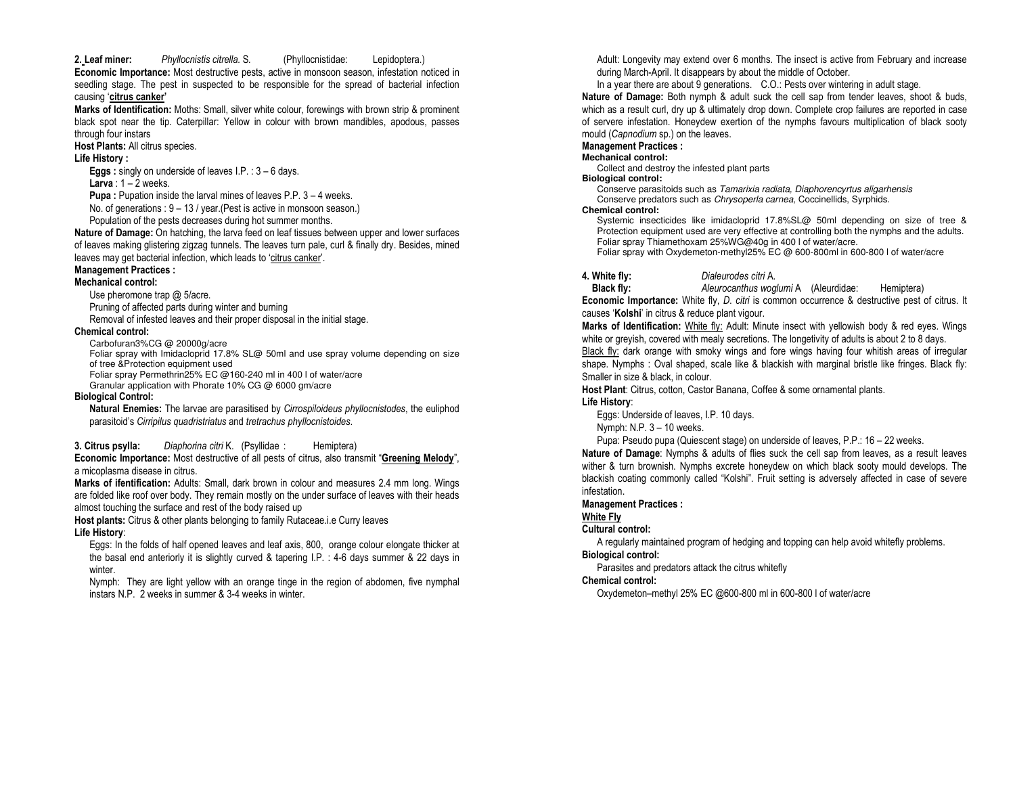#### 2. Leaf miner:Phyllocnistis citrella. S. (Phyllocnistidae: Lepidoptera.)

Economic Importance: Most destructive pests, active in monsoon season, infestation noticed in seedling stage. The pest in suspected to be responsible for the spread of bacterial infection causing 'citrus canker'

Marks of Identification: Moths: Small, silver white colour, forewings with brown strip & prominent black spot near the tip. Caterpillar: Yellow in colour with brown mandibles, apodous, passes through four instars

#### Host Plants: All citrus species.

Life History :

**Eggs**: singly on underside of leaves  $I.P. : 3 - 6$  days.

#### **Larva** :  $1 - 2$  weeks.

Pupa : Pupation inside the larval mines of leaves P.P. 3 - 4 weeks.

No. of generations : 9 – 13 / year.(Pest is active in monsoon season.)

Population of the pests decreases during hot summer months.

Nature of Damage: On hatching, the larva feed on leaf tissues between upper and lower surfaces of leaves making glistering zigzag tunnels. The leaves turn pale, curl & finally dry. Besides, mined leaves may get bacterial infection, which leads to 'citrus canker'.

#### Management Practices :

#### Mechanical control:

Use pheromone trap @ 5/acre.

Pruning of affected parts during winter and burning

Removal of infested leaves and their proper disposal in the initial stage.

#### Chemical control:

Carbofuran3%CG @ 20000g/acre

 Foliar spray with Imidacloprid 17.8% SL@ 50ml and use spray volume depending on size of tree &Protection equipment used

Foliar spray Permethrin25% EC @160-240 ml in 400 l of water/acre

Granular application with Phorate 10% CG @ 6000 gm/acre

#### Biological Control:

Natural Enemies: The larvae are parasitised by Cirrospiloideus phyllocnistodes, the euliphod parasitoid's Cirripilus quadristriatus and tretrachus phyllocnistoides.

3. Citrus psylla:Diaphorina citri K. (Psyllidae : Hemiptera)

Economic Importance: Most destructive of all pests of citrus, also transmit "Greening Melody", a micoplasma disease in citrus.

Marks of ifentification: Adults: Small, dark brown in colour and measures 2.4 mm long. Wings are folded like roof over body. They remain mostly on the under surface of leaves with their heads almost touching the surface and rest of the body raised up

Host plants: Citrus & other plants belonging to family Rutaceae.i.e Curry leaves

## Life History:

 Eggs: In the folds of half opened leaves and leaf axis, 800, orange colour elongate thicker at the basal end anteriorly it is slightly curved & tapering I.P. : 4-6 days summer & 22 days in winter.

 Nymph: They are light yellow with an orange tinge in the region of abdomen, five nymphal instars N.P. 2 weeks in summer & 3-4 weeks in winter.

Adult: Longevity may extend over 6 months. The insect is active from February and increase during March-April. It disappears by about the middle of October.

In a year there are about 9 generations. C.O.: Pests over wintering in adult stage.

Nature of Damage: Both nymph & adult suck the cell sap from tender leaves, shoot & buds, which as a result curl, dry up & ultimately drop down. Complete crop failures are reported in case of servere infestation. Honeydew exertion of the nymphs favours multiplication of black sooty mould (Capnodium sp.) on the leaves.

## Management Practices :

## **Mechanical control:**

Collect and destroy the infested plant parts

## **Biological control:**

 Conserve parasitoids such as Tamarixia radiata, Diaphorencyrtus aligarhensis Conserve predators such as Chrysoperla carnea, Coccinellids, Syrphids.

#### **Chemical control:**

 Systemic insecticides like imidacloprid 17.8%SL@ 50ml depending on size of tree & Protection equipment used are very effective at controlling both the nymphs and the adults. Foliar spray Thiamethoxam 25%WG@40g in 400 l of water/acre.

Foliar spray with Oxydemeton-methyl25% EC @ 600-800ml in 600-800 l of water/acre

4. White fly: Dialeurodes citri A.

 Aleurocanthus woglumi A (Aleurdidae: Hemiptera) Black fly:Economic Importance: White fly, D. citri is common occurrence & destructive pest of citrus. It causes 'Kolshi' in citrus & reduce plant vigour.

Marks of Identification: White fly: Adult: Minute insect with yellowish body & red eyes. Wings white or greyish, covered with mealy secretions. The longetivity of adults is about 2 to 8 days.

Black fly: dark orange with smoky wings and fore wings having four whitish areas of irregular shape. Nymphs : Oval shaped, scale like & blackish with marginal bristle like fringes. Black fly: Smaller in size & black, in colour.

Host Plant: Citrus, cotton, Castor Banana, Coffee & some ornamental plants.

## Life History:

Eggs: Underside of leaves, I.P. 10 days.

Nymph: N.P. 3 – 10 weeks.

Pupa: Pseudo pupa (Quiescent stage) on underside of leaves, P.P.: 16 – 22 weeks.

Nature of Damage: Nymphs & adults of flies suck the cell sap from leaves, as a result leaves wither & turn brownish. Nymphs excrete honeydew on which black sooty mould develops. The blackish coating commonly called "Kolshi". Fruit setting is adversely affected in case of severe infestation.

## Management Practices :

White Fly

## Cultural control:

 A regularly maintained program of hedging and topping can help avoid whitefly problems. Biological control:

Parasites and predators attack the citrus whitefly

## Chemical control:

Oxydemeton–methyl 25% EC @600-800 ml in 600-800 l of water/acre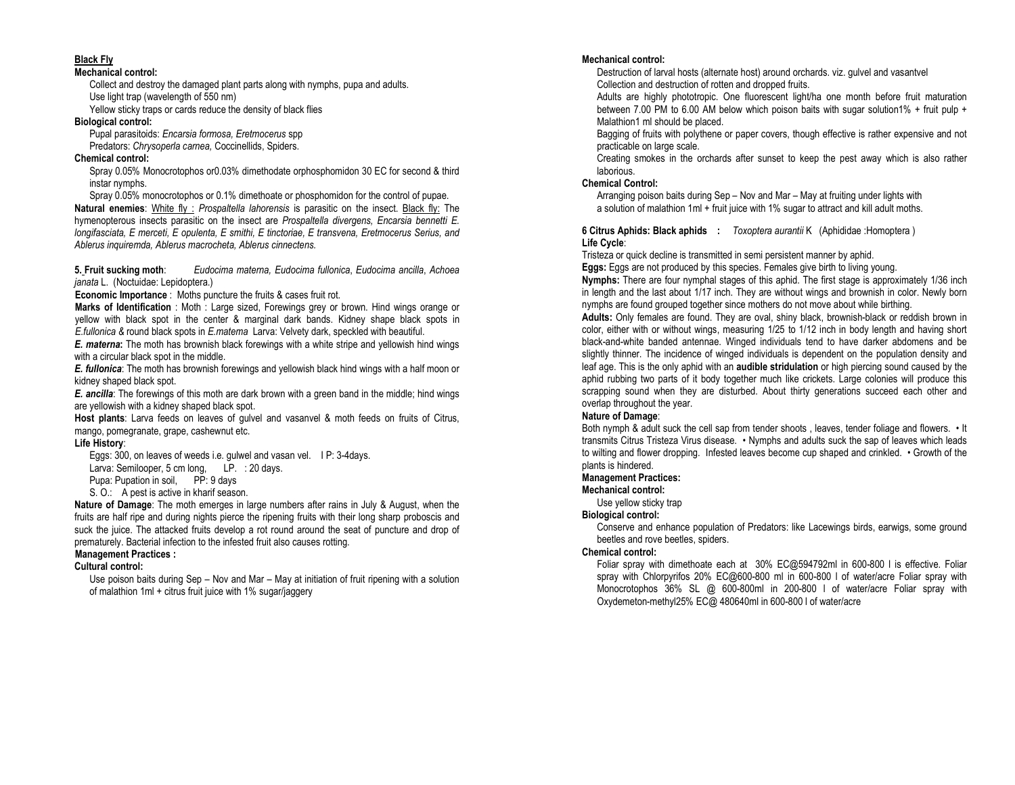## Black Fly

#### Mechanical control:

 Collect and destroy the damaged plant parts along with nymphs, pupa and adults. Use light trap (wavelength of 550 nm)

Yellow sticky traps or cards reduce the density of black flies

## Biological control:

 Pupal parasitoids: Encarsia formosa, Eretmocerus spp Predators: Chrysoperla carnea, Coccinellids, Spiders.

## Chemical control:

 Spray 0.05% Monocrotophos or0.03% dimethodate orphosphomidon 30 EC for second & third instar nymphs.

 Spray 0.05% monocrotophos or 0.1% dimethoate or phosphomidon for the control of pupae. Natural enemies: White fly: Prospaltella lahorensis is parasitic on the insect. Black fly: The hymenopterous insects parasitic on the insect are Prospaltella divergens, Encarsia bennetti E. longifasciata, E merceti, E opulenta, E smithi, E tinctoriae, E transvena, Eretmocerus Serius, and Ablerus inquiremda, Ablerus macrocheta, Ablerus cinnectens.

5. Fruit sucking moth: Eudocima materna, Eudocima fullonica, Eudocima ancilla, Achoea janata L. (Noctuidae: Lepidoptera.)

Economic Importance : Moths puncture the fruits & cases fruit rot.

Marks of Identification : Moth : Large sized, Forewings grey or brown. Hind wings orange or yellow with black spot in the center & marginal dark bands. Kidney shape black spots in E.fullonica & round black spots in E.matema Larva: Velvety dark, speckled with beautiful.

E. materna: The moth has brownish black forewings with a white stripe and yellowish hind wings with a circular black spot in the middle.

E. fullonica: The moth has brownish forewings and yellowish black hind wings with a half moon or kidney shaped black spot.

E. ancilla: The forewings of this moth are dark brown with a green band in the middle; hind wings are yellowish with a kidney shaped black spot.

Host plants: Larva feeds on leaves of gulvel and vasanvel & moth feeds on fruits of Citrus, mango, pomegranate, grape, cashewnut etc.

## Life History:

Eggs: 300, on leaves of weeds i.e. gulwel and vasan vel. I P: 3-4days.

Larva: Semilooper, 5 cm long, LP. : 20 days.

Pupa: Pupation in soil, PP: 9 days

S. O.: A pest is active in kharif season.

Nature of Damage: The moth emerges in large numbers after rains in July & August, when the fruits are half ripe and during nights pierce the ripening fruits with their long sharp proboscis and suck the juice. The attacked fruits develop a rot round around the seat of puncture and drop of prematurely. Bacterial infection to the infested fruit also causes rotting.

## Management Practices :

## Cultural control:

 Use poison baits during Sep – Nov and Mar – May at initiation of fruit ripening with a solution of malathion 1ml + citrus fruit juice with 1% sugar/jaggery

#### Mechanical control:

 Destruction of larval hosts (alternate host) around orchards. viz. gulvel and vasantvel Collection and destruction of rotten and dropped fruits.

 Adults are highly phototropic. One fluorescent light/ha one month before fruit maturation between 7.00 PM to 6.00 AM below which poison baits with sugar solution1% + fruit pulp + Malathion1 ml should be placed.

 Bagging of fruits with polythene or paper covers, though effective is rather expensive and not practicable on large scale.

 Creating smokes in the orchards after sunset to keep the pest away which is also rather laborious.

## Chemical Control:

 Arranging poison baits during Sep – Nov and Mar – May at fruiting under lights with a solution of malathion 1ml + fruit juice with 1% sugar to attract and kill adult moths.

**6 Citrus Aphids: Black aphids :** *Toxoptera aurantii* K (Aphididae :Homoptera ) Life Cycle:

Tristeza or quick decline is transmitted in semi persistent manner by aphid.

Eggs: Eggs are not produced by this species. Females give birth to living young.

Nymphs: There are four nymphal stages of this aphid. The first stage is approximately 1/36 inch in length and the last about 1/17 inch. They are without wings and brownish in color. Newly born nymphs are found grouped together since mothers do not move about while birthing.

Adults: Only females are found. They are oval, shiny black, brownish-black or reddish brown in color, either with or without wings, measuring 1/25 to 1/12 inch in body length and having short black-and-white banded antennae. Winged individuals tend to have darker abdomens and be slightly thinner. The incidence of winged individuals is dependent on the population density and leaf age. This is the only aphid with an audible stridulation or high piercing sound caused by the aphid rubbing two parts of it body together much like crickets. Large colonies will produce this scrapping sound when they are disturbed. About thirty generations succeed each other and overlap throughout the year.

## Nature of Damage:

 Both nymph & adult suck the cell sap from tender shoots , leaves, tender foliage and flowers. • It transmits Citrus Tristeza Virus disease. • Nymphs and adults suck the sap of leaves which leads to wilting and flower dropping. Infested leaves become cup shaped and crinkled. • Growth of the plants is hindered.

## Management Practices:

#### Mechanical control:

Use yellow sticky trap

## Biological control:

 Conserve and enhance population of Predators: like Lacewings birds, earwigs, some ground beetles and rove beetles, spiders.

## Chemical control:

 Foliar spray with dimethoate each at 30% EC@594792ml in 600-800 l is effective. Foliar spray with Chlorpyrifos 20% EC@600-800 ml in 600-800 l of water/acre Foliar spray with Monocrotophos 36% SL @ 600-800ml in 200-800 l of water/acre Foliar spray with Oxydemeton-methyl25% EC@ 480640ml in 600-800 l of water/acre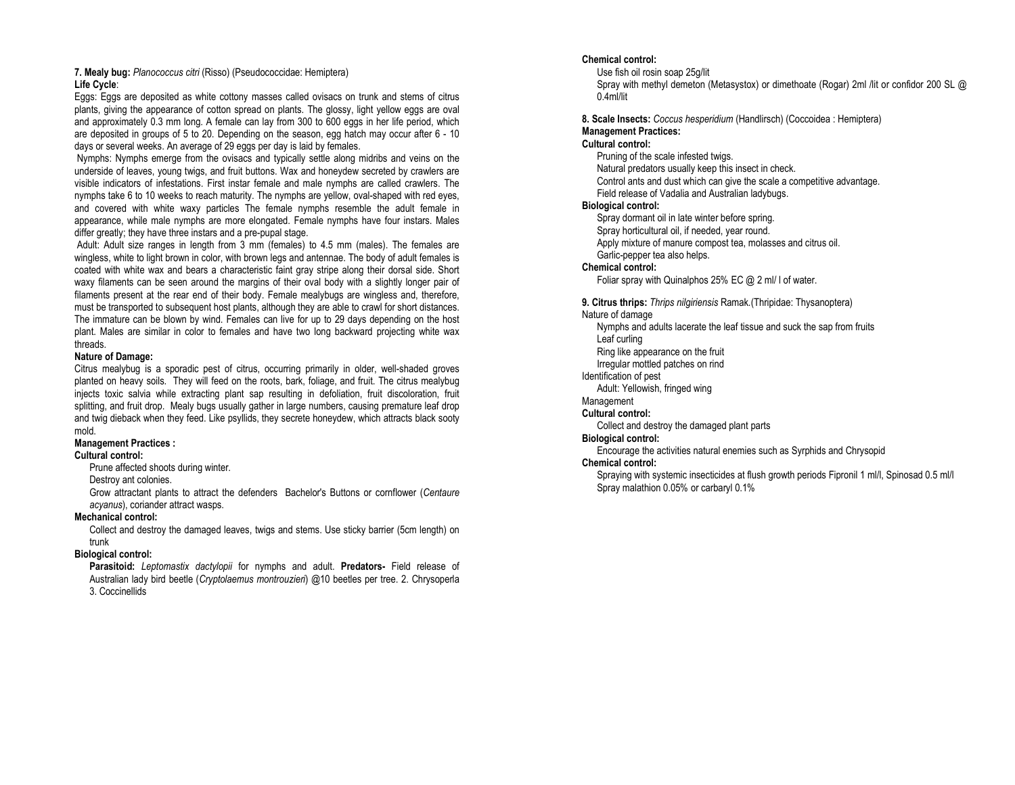#### 7. Mealy bug: Planococcus citri (Risso) (Pseudococcidae: Hemiptera)Life Cycle:

 Eggs: Eggs are deposited as white cottony masses called ovisacs on trunk and stems of citrus plants, giving the appearance of cotton spread on plants. The glossy, light yellow eggs are oval and approximately 0.3 mm long. A female can lay from 300 to 600 eggs in her life period, which are deposited in groups of 5 to 20. Depending on the season, egg hatch may occur after 6 - 10 days or several weeks. An average of 29 eggs per day is laid by females.

 Nymphs: Nymphs emerge from the ovisacs and typically settle along midribs and veins on the underside of leaves, young twigs, and fruit buttons. Wax and honeydew secreted by crawlers are visible indicators of infestations. First instar female and male nymphs are called crawlers. The nymphs take 6 to 10 weeks to reach maturity. The nymphs are yellow, oval-shaped with red eyes, and covered with white waxy particles The female nymphs resemble the adult female in appearance, while male nymphs are more elongated. Female nymphs have four instars. Males differ greatly; they have three instars and a pre-pupal stage.

 Adult: Adult size ranges in length from 3 mm (females) to 4.5 mm (males). The females are wingless, white to light brown in color, with brown legs and antennae. The body of adult females is coated with white wax and bears a characteristic faint gray stripe along their dorsal side. Short waxy filaments can be seen around the margins of their oval body with a slightly longer pair of filaments present at the rear end of their body. Female mealybugs are wingless and, therefore, must be transported to subsequent host plants, although they are able to crawl for short distances. The immature can be blown by wind. Females can live for up to 29 days depending on the host plant. Males are similar in color to females and have two long backward projecting white wax threads.

#### Nature of Damage:

 Citrus mealybug is a sporadic pest of citrus, occurring primarily in older, well-shaded groves planted on heavy soils. They will feed on the roots, bark, foliage, and fruit. The citrus mealybug injects toxic salvia while extracting plant sap resulting in defoliation, fruit discoloration, fruit splitting, and fruit drop. Mealy bugs usually gather in large numbers, causing premature leaf drop and twig dieback when they feed. Like psyllids, they secrete honeydew, which attracts black sooty mold.

## Management Practices :

## Cultural control:

Prune affected shoots during winter.

Destroy ant colonies.

Grow attractant plants to attract the defenders Bachelor's Buttons or cornflower (Centaure acyanus), coriander attract wasps.

#### Mechanical control:

 Collect and destroy the damaged leaves, twigs and stems. Use sticky barrier (5cm length) on trunk

## Biological control:

Parasitoid: Leptomastix dactylopii for nymphs and adult. Predators- Field release of Australian lady bird beetle (Cryptolaemus montrouzieri) @10 beetles per tree. 2. Chrysoperla 3. Coccinellids

## Chemical control:

Use fish oil rosin soap 25g/lit

 Spray with methyl demeton (Metasystox) or dimethoate (Rogar) 2ml /lit or confidor 200 SL @ 0.4ml/lit

8. Scale Insects: Coccus hesperidium (Handlirsch) (Coccoidea : Hemiptera) Management Practices:

## Cultural control:

Pruning of the scale infested twigs.

Natural predators usually keep this insect in check.

Control ants and dust which can give the scale a competitive advantage.

Field release of Vadalia and Australian ladybugs.

## Biological control:

Spray dormant oil in late winter before spring.

Spray horticultural oil, if needed, year round.

Apply mixture of manure compost tea, molasses and citrus oil.

Garlic-pepper tea also helps.

#### Chemical control:

Foliar spray with Quinalphos 25% EC @ 2 ml/ l of water.

9. Citrus thrips: Thrips nilgiriensis Ramak. (Thripidae: Thysanoptera) Nature of damage

 Nymphs and adults lacerate the leaf tissue and suck the sap from fruits Leaf curling

 Ring like appearance on the fruit Irregular mottled patches on rind

Identification of pest

 Adult: Yellowish, fringed wing Management

# Cultural control:

Collect and destroy the damaged plant parts

# Biological control:

Encourage the activities natural enemies such as Syrphids and Chrysopid

## Chemical control:

 Spraying with systemic insecticides at flush growth periods Fipronil 1 ml/l, Spinosad 0.5 ml/l Spray malathion 0.05% or carbaryl 0.1%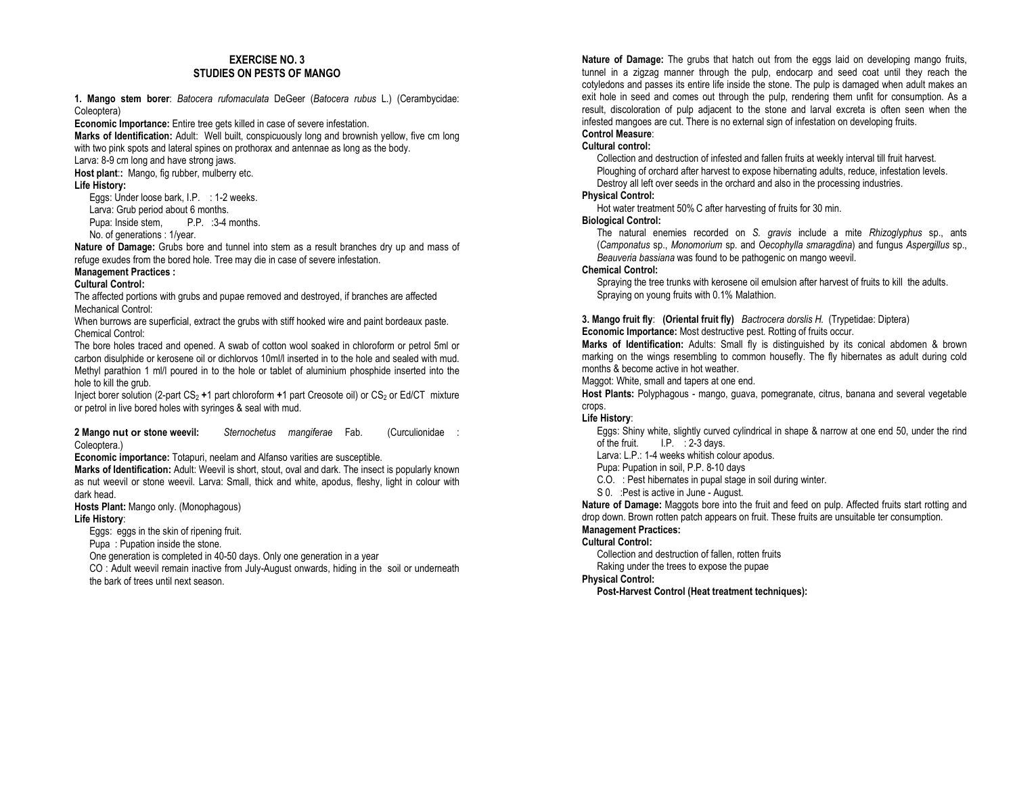## EXERCISE NO. 3 STUDIES ON PESTS OF MANGO

1. Mango stem borer: Batocera rufomaculata DeGeer (Batocera rubus L.) (Cerambycidae: Coleoptera)

Economic Importance: Entire tree gets killed in case of severe infestation.

Marks of Identification: Adult: Well built, conspicuously long and brownish yellow, five cm long with two pink spots and lateral spines on prothorax and antennae as long as the body.

Larva: 8-9 cm long and have strong jaws.

Host plant:: Mango, fig rubber, mulberry etc.

Life History:

Eggs: Under loose bark, I.P. : 1-2 weeks. Larva: Grub period about 6 months. Pupa: Inside stem, P.P. : 3-4 months. No. of generations : 1/year.

Nature of Damage: Grubs bore and tunnel into stem as a result branches dry up and mass of refuge exudes from the bored hole. Tree may die in case of severe infestation.

## Management Practices :

#### Cultural Control:

 The affected portions with grubs and pupae removed and destroyed, if branches are affected Mechanical Control:

 When burrows are superficial, extract the grubs with stiff hooked wire and paint bordeaux paste. Chemical Control:

 The bore holes traced and opened. A swab of cotton wool soaked in chloroform or petrol 5ml or carbon disulphide or kerosene oil or dichlorvos 10ml/l inserted in to the hole and sealed with mud. Methyl parathion 1 ml/l poured in to the hole or tablet of aluminium phosphide inserted into the hole to kill the grub.

Inject borer solution (2-part CS<sub>2</sub> +1 part chloroform +1 part Creosote oil) or CS<sub>2</sub> or Ed/CT mixture or petrol in live bored holes with syringes & seal with mud.

2 Mango **nut or** stone weevil: Sternochetus mangiferae Fab. (Curculionidae : Coleoptera.)

Economic importance: Totapuri, neelam and Alfanso varities are susceptible.

Marks of Identification: Adult: Weevil is short, stout, oval and dark. The insect is popularly known as nut weevil or stone weevil. Larva: Small, thick and white, apodus, fleshy, light in colour with dark head.

Hosts Plant: Mango only. (Monophagous)

#### Life History:

Eggs: eggs in the skin of ripening fruit.

Pupa : Pupation inside the stone.

One generation is completed in 40-50 days. Only one generation in a year

 CO : Adult weevil remain inactive from July-August onwards, hiding in the soil or underneath the bark of trees until next season.

Nature of Damage: The grubs that hatch out from the eggs laid on developing mango fruits. tunnel in a zigzag manner through the pulp, endocarp and seed coat until they reach the cotyledons and passes its entire life inside the stone. The pulp is damaged when adult makes an exit hole in seed and comes out through the pulp, rendering them unfit for consumption. As a result, discoloration of pulp adjacent to the stone and larval excreta is often seen when the infested mangoes are cut. There is no external sign of infestation on developing fruits. Control Measure:

## Cultural control:

 Collection and destruction of infested and fallen fruits at weekly interval till fruit harvest. Ploughing of orchard after harvest to expose hibernating adults, reduce, infestation levels. Destroy all left over seeds in the orchard and also in the processing industries.

## Physical Control:

Hot water treatment 50% C after harvesting of fruits for 30 min.<br>Issued Central:

# Biological Control:

The natural enemies recorded on S. gravis include a mite Rhizoglyphus sp., ants (Camponatus sp., Monomorium sp. and Oecophylla smaragdina) and fungus Aspergillus sp., Beauveria bassiana was found to be pathogenic on mango weevil.

## Chemical Control:

 Spraying the tree trunks with kerosene oil emulsion after harvest of fruits to kill the adults. Spraying on young fruits with 0.1% Malathion.

#### **3. Mango fruit fly: (Oriental fruit fly)** Bactrocera dorslis H. (Trypetidae: Diptera) Economic Importance: Most destructive pest. Rotting of fruits occur.

Marks of Identification: Adults: Small fly is distinguished by its conical abdomen & brown marking on the wings resembling to common housefly. The fly hibernates as adult during cold months & become active in hot weather.

Maggot: White, small and tapers at one end.

Host Plants: Polyphagous - mango, guava, pomegranate, citrus, banana and several vegetable crops.

## Life History:

 Eggs: Shiny white, slightly curved cylindrical in shape & narrow at one end 50, under the rind of the fruit. I.P. : 2-3 days.

Larva: L.P.: 1-4 weeks whitish colour apodus.

Pupa: Pupation in soil, P.P. 8-10 days

- C.O. : Pest hibernates in pupal stage in soil during winter.
- S 0. :Pest is active in June August.

Nature of Damage: Maggots bore into the fruit and feed on pulp. Affected fruits start rotting and drop down. Brown rotten patch appears on fruit. These fruits are unsuitable ter consumption.

## Management Practices:

## Cultural Control:

Collection and destruction of fallen, rotten fruits

Raking under the trees to expose the pupae

## Physical Control:

Post-Harvest Control (Heat treatment techniques):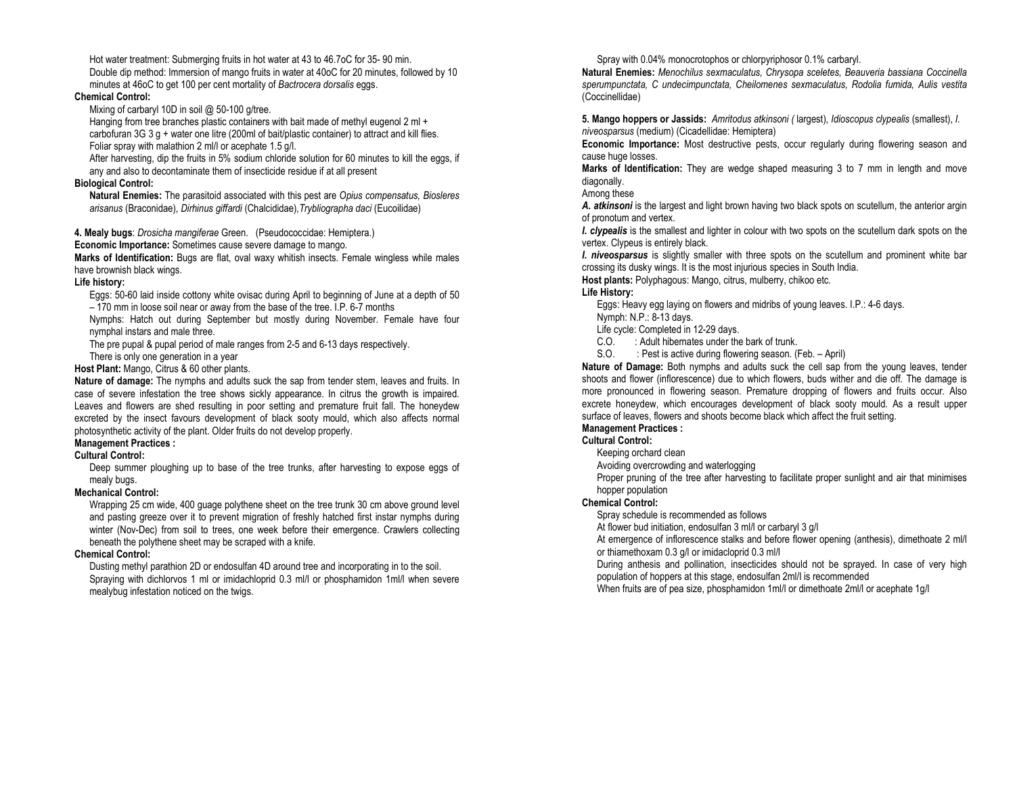Hot water treatment: Submerging fruits in hot water at 43 to 46.7oC for 35- 90 min. Double dip method: Immersion of mango fruits in water at 40oC for 20 minutes, followed by 10 minutes at 46oC to get 100 per cent mortality of Bactrocera dorsalis eggs.

#### Chemical Control:

Mixing of carbaryl 10D in soil @ 50-100 g/tree.

Hanging from tree branches plastic containers with bait made of methyl eugenol 2 ml + carbofuran 3G 3 g + water one litre (200ml of bait/plastic container) to attract and kill flies. Foliar spray with malathion 2 ml/l or acephate 1.5 g/l.

 After harvesting, dip the fruits in 5% sodium chloride solution for 60 minutes to kill the eggs, if any and also to decontaminate them of insecticide residue if at all present

#### Biological Control:

Natural Enemies: The parasitoid associated with this pest are Opius compensatus, Biosleres arisanus (Braconidae), Dirhinus giffardi (Chalcididae),Trybliographa daci (Eucoilidae)

4. Mealy bugs: Drosicha mangiferae Green. (Pseudococcidae: Hemiptera.)

Economic Importance: Sometimes cause severe damage to mango.

Marks of Identification: Bugs are flat, oval waxy whitish insects. Female wingless while males have brownish black wings.

## Life history:

 Eggs: 50-60 laid inside cottony white ovisac during April to beginning of June at a depth of 50 – 170 mm in loose soil near or away from the base of the tree. I.P. 6-7 months

 Nymphs: Hatch out during September but mostly during November. Female have four nymphal instars and male three.

The pre pupal & pupal period of male ranges from 2-5 and 6-13 days respectively.

There is only one generation in a year

Host Plant: Mango, Citrus & 60 other plants.

Nature of damage: The nymphs and adults suck the sap from tender stem, leaves and fruits. In case of severe infestation the tree shows sickly appearance. In citrus the growth is impaired. Leaves and flowers are shed resulting in poor setting and premature fruit fall. The honeydew excreted by the insect favours development of black sooty mould, which also affects normal photosynthetic activity of the plant. Older fruits do not develop properly.

## Management Practices :

## Cultural Control:

 Deep summer ploughing up to base of the tree trunks, after harvesting to expose eggs of mealy bugs.

## Mechanical Control:

 Wrapping 25 cm wide, 400 guage polythene sheet on the tree trunk 30 cm above ground level and pasting greeze over it to prevent migration of freshly hatched first instar nymphs during winter (Nov-Dec) from soil to trees, one week before their emergence. Crawlers collecting beneath the polythene sheet may be scraped with a knife.

## Chemical Control:

 Dusting methyl parathion 2D or endosulfan 4D around tree and incorporating in to the soil. Spraying with dichlorvos 1 ml or imidachloprid 0.3 ml/l or phosphamidon 1ml/l when severe mealybug infestation noticed on the twigs.

Spray with 0.04% monocrotophos or chlorpyriphosor 0.1% carbaryl.

Natural Enemies: Menochilus sexmaculatus, Chrysopa sceletes, Beauveria bassiana Coccinella sperumpunctata, C undecimpunctata, Cheilomenes sexmaculatus, Rodolia fumida, Aulis vestita (Coccinellidae)

5. Mango hoppers or Jassids: Amritodus atkinsoni (Iargest), Idioscopus clypealis (smallest), I. niveosparsus (medium) (Cicadellidae: Hemiptera)

Economic Importance: Most destructive pests, occur regularly during flowering season and cause huge losses.

Marks of Identification: They are wedge shaped measuring 3 to 7 mm in length and move diagonally.

Among these

A. atkinsoni is the largest and light brown having two black spots on scutellum, the anterior argin of pronotum and vertex.

I. clypealis is the smallest and lighter in colour with two spots on the scutellum dark spots on the vertex. Clypeus is entirely black.

I. niveosparsus is slightly smaller with three spots on the scutellum and prominent white bar crossing its dusky wings. It is the most injurious species in South India.

Host plants: Polyphagous: Mango, citrus, mulberry, chikoo etc.

## Life History:

 Eggs: Heavy egg laying on flowers and midribs of young leaves. I.P.: 4-6 days. Nymph: N.P.: 8-13 days.

Life cycle: Completed in 12-29 days.

- C.O. : Adult hibernates under the bark of trunk.
- S.O. : Pest is active during flowering season. (Feb. April)

Nature of Damage: Both nymphs and adults suck the cell sap from the young leaves, tender shoots and flower (inflorescence) due to which flowers, buds wither and die off. The damage is more pronounced in flowering season. Premature dropping of flowers and fruits occur. Also excrete honeydew, which encourages development of black sooty mould. As a result upper surface of leaves, flowers and shoots become black which affect the fruit setting.

## Management Practices :

## Cultural Control:

Keeping orchard clean

Avoiding overcrowding and waterlogging

 Proper pruning of the tree after harvesting to facilitate proper sunlight and air that minimises hopper population

## Chemical Control:

Spray schedule is recommended as follows

At flower bud initiation, endosulfan 3 ml/l or carbaryl 3 g/l

 At emergence of inflorescence stalks and before flower opening (anthesis), dimethoate 2 ml/l or thiamethoxam 0.3 g/l or imidacloprid 0.3 ml/l

 During anthesis and pollination, insecticides should not be sprayed. In case of very high population of hoppers at this stage, endosulfan 2ml/l is recommended

When fruits are of pea size, phosphamidon 1ml/l or dimethoate 2ml/l or acephate 1g/l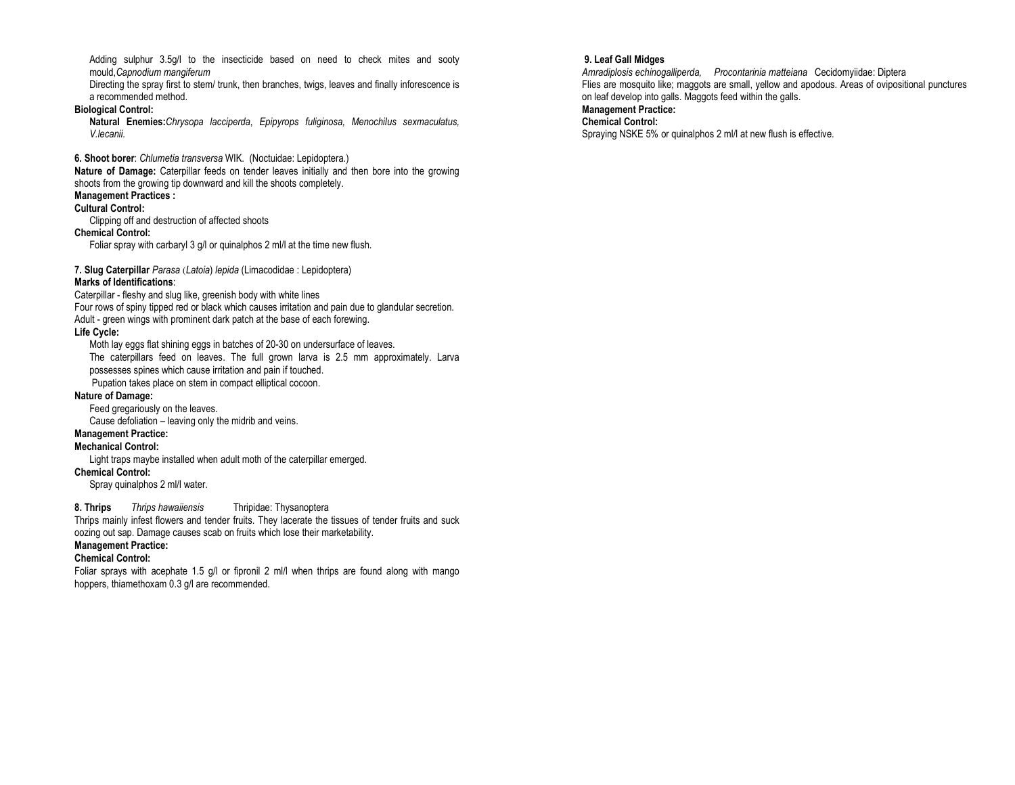Adding sulphur 3.5g/l to the insecticide based on need to check mites and sooty mould,Capnodium mangiferum

 Directing the spray first to stem/ trunk, then branches, twigs, leaves and finally inforescence is a recommended method.

## Biological Control:

Natural Enemies: Chrysopa lacciperda, Epipyrops fuliginosa, Menochilus sexmaculatus, V.lecanii.

6. Shoot borer: Chlumetia transversa WIK. (Noctuidae: Lepidoptera.)

Nature of Damage: Caterpillar feeds on tender leaves initially and then bore into the growing shoots from the growing tip downward and kill the shoots completely. Management Practices :

# Cultural Control:

Clipping off and destruction of affected shoots

#### Chemical Control:

Foliar spray with carbaryl 3 g/l or quinalphos 2 ml/l at the time new flush.

7. Slug Caterpillar Parasa (Latoia) lepida (Limacodidae : Lepidoptera)

## Marks of Identifications:

Caterpillar - fleshy and slug like, greenish body with white lines

Four rows of spiny tipped red or black which causes irritation and pain due to glandular secretion.

Adult - green wings with prominent dark patch at the base of each forewing.

## Life Cycle:

 Moth lay eggs flat shining eggs in batches of 20-30 on undersurface of leaves. The caterpillars feed on leaves. The full grown larva is 2.5 mm approximately. Larva possesses spines which cause irritation and pain if touched. Pupation takes place on stem in compact elliptical cocoon.

## Nature of Damage:

Feed gregariously on the leaves.

Cause defoliation – leaving only the midrib and veins.

# Management Practice:

Mechanical Control:

Light traps maybe installed when adult moth of the caterpillar emerged.

## Chemical Control:

Spray quinalphos 2 ml/l water.

## 8. Thrips Thrips hawaiiensis Thripidae: Thysanoptera

 Thrips mainly infest flowers and tender fruits. They lacerate the tissues of tender fruits and suck oozing out sap. Damage causes scab on fruits which lose their marketability.

## Management Practice:

## Chemical Control:

Foliar sprays with acephate 1.5 g/l or fipronil 2 ml/l when thrips are found along with mango hoppers, thiamethoxam 0.3 g/l are recommended.

## 9. Leaf Gall Midges

 Amradiplosis echinogalliperda, Procontarinia matteiana Cecidomyiidae: Diptera Flies are mosquito like; maggots are small, yellow and apodous. Areas of ovipositional punctures on leaf develop into galls. Maggots feed within the galls.

# Management Practice:

Chemical Control:

Spraying NSKE 5% or quinalphos 2 ml/l at new flush is effective.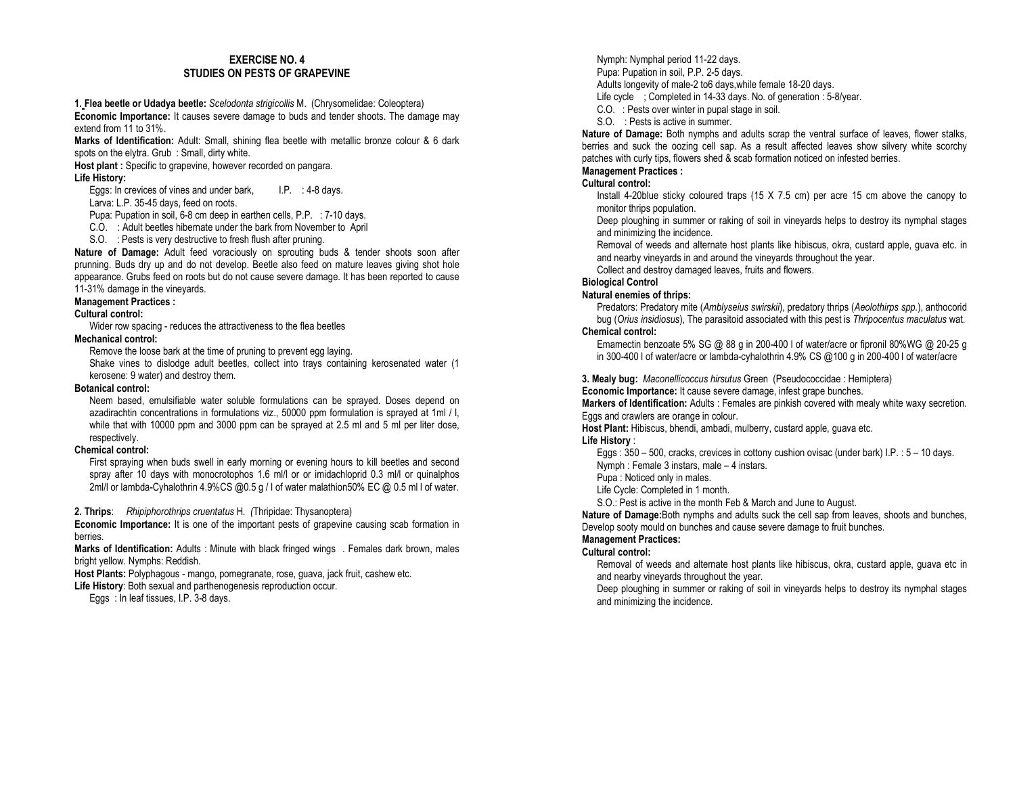## EXERCISE NO. 4 STUDIES ON PESTS OF GRAPEVINE

1. Flea beetle or Udadya beetle: Scelodonta strigicollis M. (Chrysomelidae: Coleoptera) Economic Importance: It causes severe damage to buds and tender shoots. The damage may extend from 11 to 31%.

Marks of Identification: Adult: Small, shining flea beetle with metallic bronze colour & 6 dark spots on the elytra. Grub : Small, dirty white.

Host plant : Specific to grapevine, however recorded on pangara. Life History:

Eggs: In crevices of vines and under bark, I.P. : 4-8 days.

Larva: L.P. 35-45 days, feed on roots.

Pupa: Pupation in soil, 6-8 cm deep in earthen cells, P.P. : 7-10 days.

C.O. : Adult beetles hibernate under the bark from November to April

S.O. : Pests is very destructive to fresh flush after pruning.

Nature of Damage: Adult feed voraciously on sprouting buds & tender shoots soon after prunning. Buds dry up and do not develop. Beetle also feed on mature leaves giving shot hole appearance. Grubs feed on roots but do not cause severe damage. It has been reported to cause 11-31% damage in the vineyards.

## Management Practices :

## Cultural control:

Wider row spacing - reduces the attractiveness to the flea beetles

## Mechanical control:

Remove the loose bark at the time of pruning to prevent egg laying.

 Shake vines to dislodge adult beetles, collect into trays containing kerosenated water (1 kerosene: 9 water) and destroy them.

## Botanical control:

 Neem based, emulsifiable water soluble formulations can be sprayed. Doses depend on azadirachtin concentrations in formulations viz., 50000 ppm formulation is sprayed at 1ml / l, while that with 10000 ppm and 3000 ppm can be sprayed at 2.5 ml and 5 ml per liter dose, respectively.

## Chemical control:

 First spraying when buds swell in early morning or evening hours to kill beetles and second spray after 10 days with monocrotophos 1.6 ml/l or or imidachloprid 0.3 ml/l or quinalphos 2ml/l or lambda-Cyhalothrin 4.9%CS @0.5 g / l of water malathion50% EC @ 0.5 ml l of water.

2. Thrips: Rhipiphorothrips cruentatus H. (Thripidae: Thysanoptera)

Economic Importance: It is one of the important pests of grapevine causing scab formation in berries.

Marks of Identification: Adults : Minute with black fringed wings . Females dark brown, males bright yellow. Nymphs: Reddish.

Host Plants: Polyphagous - mango, pomegranate, rose, guava, jack fruit, cashew etc.

Life History: Both sexual and parthenogenesis reproduction occur. Eggs : In leaf tissues, I.P. 3-8 days.

Nymph: Nymphal period 11-22 days. Pupa: Pupation in soil, P.P. 2-5 days.

Adults longevity of male-2 to6 days,while female 18-20 days.

- Life cycle ; Completed in 14-33 days. No. of generation : 5-8/year.
- C.O. : Pests over winter in pupal stage in soil.
- S.O. : Pests is active in summer.

Nature of Damage: Both nymphs and adults scrap the ventral surface of leaves, flower stalks, berries and suck the oozing cell sap. As a result affected leaves show silvery white scorchy patches with curly tips, flowers shed & scab formation noticed on infested berries.

## Management Practices :

## Cultural control:

 Install 4-20blue sticky coloured traps (15 X 7.5 cm) per acre 15 cm above the canopy to monitor thrips population.

 Deep ploughing in summer or raking of soil in vineyards helps to destroy its nymphal stages and minimizing the incidence.

 Removal of weeds and alternate host plants like hibiscus, okra, custard apple, guava etc. in and nearby vineyards in and around the vineyards throughout the year.

Collect and destroy damaged leaves, fruits and flowers.

## Biological Control

## Natural enemies of thrips:

Predators: Predatory mite (Amblyseius swirskii), predatory thrips (Aeolothirps spp.), anthocorid bug (Orius insidiosus), The parasitoid associated with this pest is Thripocentus maculatus wat.

## Chemical control:

 Emamectin benzoate 5% SG @ 88 g in 200-400 l of water/acre or fipronil 80%WG @ 20-25 g in 300-400 l of water/acre or lambda-cyhalothrin 4.9% CS @100 g in 200-400 l of water/acre

3. Mealy bug: Maconellicoccus hirsutus Green (Pseudococcidae : Hemiptera)

Economic Importance: It cause severe damage, infest grape bunches.

Markers of Identification: Adults : Females are pinkish covered with mealy white waxy secretion. Eggs and crawlers are orange in colour.

Host Plant: Hibiscus, bhendi, ambadi, mulberry, custard apple, guava etc.

## Life History :

 Eggs : 350 – 500, cracks, crevices in cottony cushion ovisac (under bark) I.P. : 5 – 10 days. Nymph : Female 3 instars, male – 4 instars.

Pupa : Noticed only in males.

Life Cycle: Completed in 1 month.

S.O.: Pest is active in the month Feb & March and June to August.

Nature of Damage: Both nymphs and adults suck the cell sap from leaves, shoots and bunches, Develop sooty mould on bunches and cause severe damage to fruit bunches.

# Management Practices:

## Cultural control:

- Removal of weeds and alternate host plants like hibiscus, okra, custard apple, guava etc in and nearby vineyards throughout the year.
- Deep ploughing in summer or raking of soil in vineyards helps to destroy its nymphal stages and minimizing the incidence.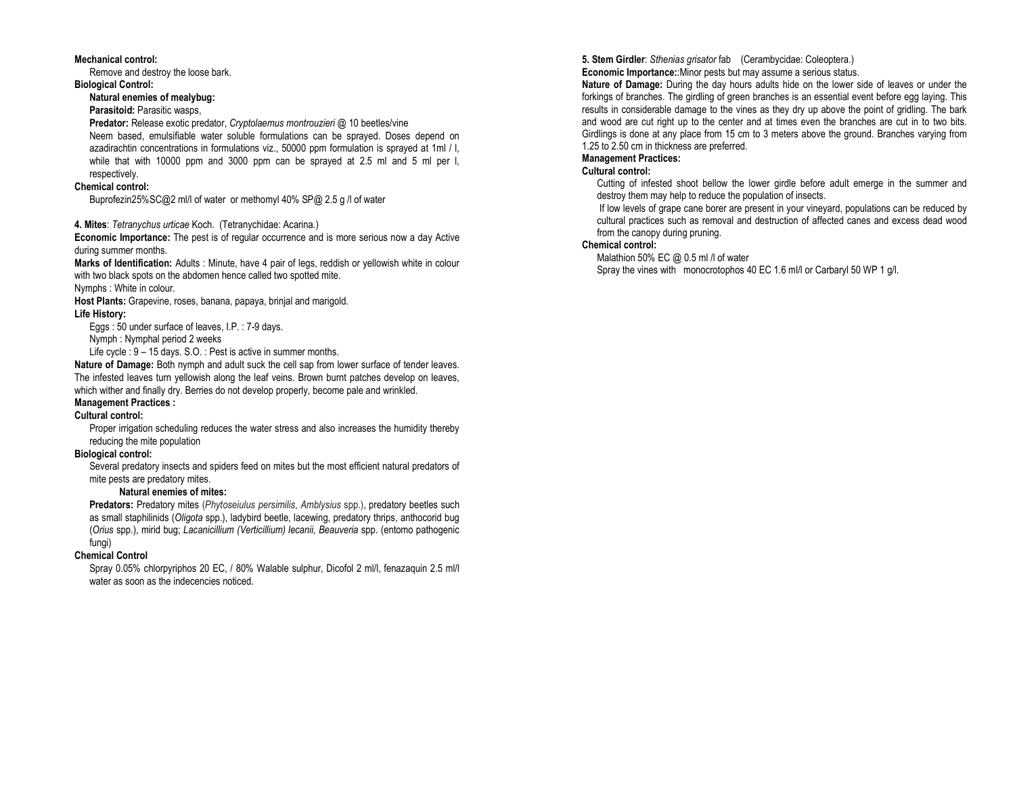#### Mechanical control:

Remove and destroy the loose bark.

## Biological Control:

Natural enemies of mealybug:

## Parasitoid: Parasitic wasps,

Predator: Release exotic predator, Cryptolaemus montrouzieri @ 10 beetles/vine Neem based, emulsifiable water soluble formulations can be sprayed. Doses depend on azadirachtin concentrations in formulations viz., 50000 ppm formulation is sprayed at 1ml / l, while that with 10000 ppm and 3000 ppm can be sprayed at 2.5 ml and 5 ml per l, respectively.

## Chemical control:

Buprofezin25%SC@2 ml/l of water or methomyl 40% SP@ 2.5 g /l of water

## 4. Mites: Tetranychus urticae Koch. (Tetranychidae: Acarina.)

Economic Importance: The pest is of regular occurrence and is more serious now a day Active during summer months.

Marks of Identification: Adults : Minute, have 4 pair of legs, reddish or yellowish white in colour with two black spots on the abdomen hence called two spotted mite.

Nymphs : White in colour.

Host Plants: Grapevine, roses, banana, papaya, brinjal and marigold. Life History:

Eggs : 50 under surface of leaves, I.P. : 7-9 days.

Nymph : Nymphal period 2 weeks

Life cycle : 9 – 15 days. S.O. : Pest is active in summer months.

Nature of Damage: Both nymph and adult suck the cell sap from lower surface of tender leaves. The infested leaves turn yellowish along the leaf veins. Brown burnt patches develop on leaves, which wither and finally dry. Berries do not develop properly, become pale and wrinkled.

## Management Practices :

## Cultural control:

 Proper irrigation scheduling reduces the water stress and also increases the humidity thereby reducing the mite population

## Biological control:

 Several predatory insects and spiders feed on mites but the most efficient natural predators of mite pests are predatory mites.

## Natural enemies of mites:

Predators: Predatory mites (Phytoseiulus persimilis, Amblysius spp.), predatory beetles such as small staphilinids (Oligota spp.), ladybird beetle, lacewing, predatory thrips, anthocorid bug (Orius spp.), mirid bug; Lacanicillium (Verticillium) lecanii, Beauveria spp. (entomo pathogenic fungi)

## Chemical Control

 Spray 0.05% chlorpyriphos 20 EC, / 80% Walable sulphur, Dicofol 2 ml/l, fenazaquin 2.5 ml/l water as soon as the indecencies noticed.

5. Stem Girdler: Sthenias grisator fab (Cerambycidae: Coleoptera.)

Economic Importance:: Minor pests but may assume a serious status.

Nature of Damage: During the day hours adults hide on the lower side of leaves or under the forkings of branches. The girdling of green branches is an essential event before egg laying. This results in considerable damage to the vines as they dry up above the point of gridling. The bark and wood are cut right up to the center and at times even the branches are cut in to two bits. Girdlings is done at any place from 15 cm to 3 meters above the ground. Branches varying from 1.25 to 2.50 cm in thickness are preferred.

## Management Practices:

## Cultural control:

 Cutting of infested shoot bellow the lower girdle before adult emerge in the summer and destroy them may help to reduce the population of insects.

 If low levels of grape cane borer are present in your vineyard, populations can be reduced by cultural practices such as removal and destruction of affected canes and excess dead wood from the canopy during pruning.

## Chemical control:

Malathion 50% EC @ 0.5 ml /l of water

Spray the vines with monocrotophos 40 EC 1.6 ml/l or Carbaryl 50 WP 1 g/l.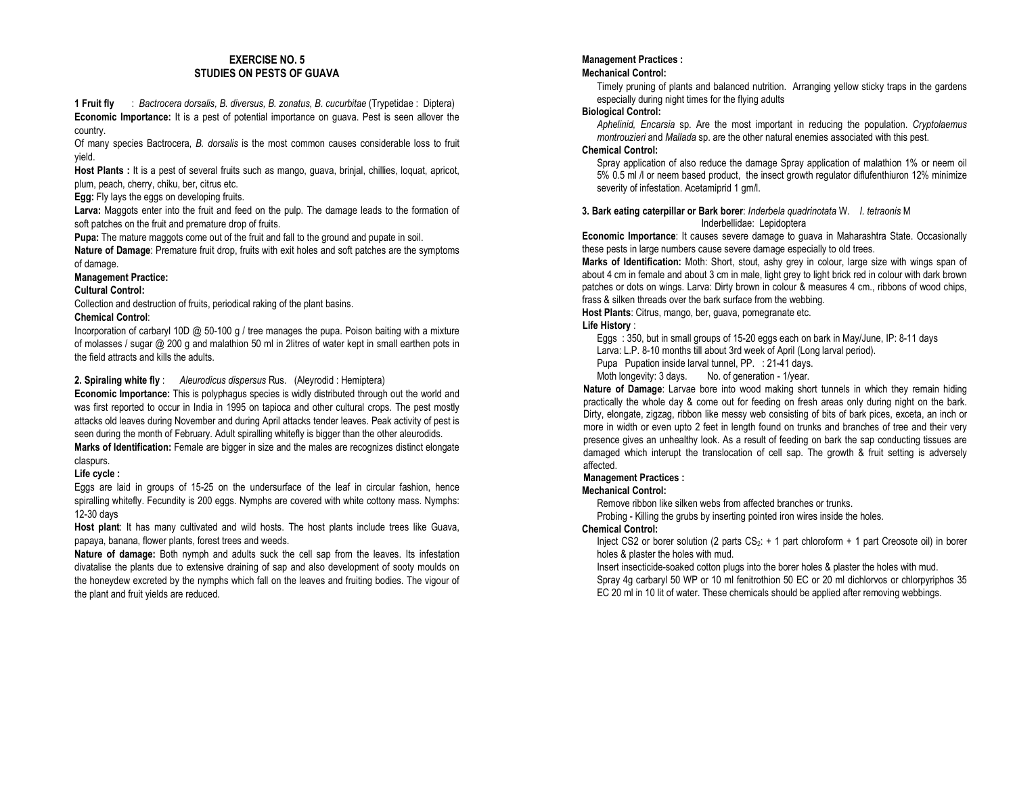## EXERCISE NO. 5 STUDIES ON PESTS OF GUAVA

1 Fruit fly : Bactrocera dorsalis, B. diversus, B. zonatus, B. cucurbitae (Trypetidae : Diptera) Economic Importance: It is a pest of potential importance on guava. Pest is seen allover the country.

Of many species Bactrocera, B. dorsalis is the most common causes considerable loss to fruit yield.

.<br>Host Plants : It is a pest of several fruits such as mango, guava, brinjal, chillies, loquat, apricot, plum, peach, cherry, chiku, ber, citrus etc.

Egg: Fly lays the eggs on developing fruits.

Larva: Maggots enter into the fruit and feed on the pulp. The damage leads to the formation of soft patches on the fruit and premature drop of fruits.

Pupa: The mature maggots come out of the fruit and fall to the ground and pupate in soil.

Nature of Damage: Premature fruit drop, fruits with exit holes and soft patches are the symptoms of damage.

## Management Practice:

Cultural Control:

Collection and destruction of fruits, periodical raking of the plant basins.

#### Chemical Control:

Incorporation of carbaryl 10D  $@$  50-100 g / tree manages the pupa. Poison baiting with a mixture of molasses / sugar @ 200 g and malathion 50 ml in 2litres of water kept in small earthen pots in the field attracts and kills the adults.

## 2. Spiraling white fly : Aleurodicus dispersus Rus. (Aleyrodid : Hemiptera)

Economic Importance: This is polyphagus species is widly distributed through out the world and was first reported to occur in India in 1995 on tapioca and other cultural crops. The pest mostly attacks old leaves during November and during April attacks tender leaves. Peak activity of pest is seen during the month of February. Adult spiralling whitefly is bigger than the other aleurodids.

Marks of Identification: Female are bigger in size and the males are recognizes distinct elongate claspurs.

## Life cycle :

Eggs are laid in groups of 15-25 on the undersurface of the leaf in circular fashion, hence spiralling whitefly. Fecundity is 200 eggs. Nymphs are covered with white cottony mass. Nymphs: 12-30 days

Host plant: It has many cultivated and wild hosts. The host plants include trees like Guava, papaya, banana, flower plants, forest trees and weeds.

Nature of damage: Both nymph and adults suck the cell sap from the leaves. Its infestation divatalise the plants due to extensive draining of sap and also development of sooty moulds on the honeydew excreted by the nymphs which fall on the leaves and fruiting bodies. The vigour of the plant and fruit yields are reduced.

## Management Practices :

#### Mechanical Control:

Timely pruning of plants and balanced nutrition. Arranging yellow sticky traps in the gardens especially during night times for the flying adults

#### Biological Control:

Aphelinid, Encarsia sp. Are the most important in reducing the population. Cryptolaemus montrouzieri and Mallada sp. are the other natural enemies associated with this pest.

## Chemical Control:

 Spray application of also reduce the damage Spray application of malathion 1% or neem oil 5% 0.5 ml /l or neem based product, the insect growth regulator diflufenthiuron 12% minimize severity of infestation. Acetamiprid 1 gm/l.

#### 3. Bark eating caterpillar or Bark borer: Inderbela quadrinotata W. I. tetraonis M Inderbellidae: Lepidoptera

Economic Importance: It causes severe damage to guava in Maharashtra State. Occasionally these pests in large numbers cause severe damage especially to old trees.

Marks of Identification: Moth: Short, stout, ashy grey in colour, large size with wings span of about 4 cm in female and about 3 cm in male, light grey to light brick red in colour with dark brown patches or dots on wings. Larva: Dirty brown in colour & measures 4 cm., ribbons of wood chips, frass & silken threads over the bark surface from the webbing.

Host Plants: Citrus, mango, ber, guava, pomegranate etc.

## Life History :

Eggs : 350, but in small groups of 15-20 eggs each on bark in May/June, IP: 8-11 days

Larva: L.P. 8-10 months till about 3rd week of April (Long larval period).

Pupa Pupation inside larval tunnel, PP. : 21-41 days.

Moth longevity: 3 days. No. of generation - 1/year.

Nature of Damage: Larvae bore into wood making short tunnels in which they remain hiding practically the whole day & come out for feeding on fresh areas only during night on the bark. Dirty, elongate, zigzag, ribbon like messy web consisting of bits of bark pices, exceta, an inch or more in width or even upto 2 feet in length found on trunks and branches of tree and their very presence gives an unhealthy look. As a result of feeding on bark the sap conducting tissues are damaged which interupt the translocation of cell sap. The growth & fruit setting is adversely affected.

## Management Practices :

## Mechanical Control:

Remove ribbon like silken webs from affected branches or trunks.

Probing - Killing the grubs by inserting pointed iron wires inside the holes.

## Chemical Control:

Inject CS2 or borer solution (2 parts  $CS_2$ : + 1 part chloroform + 1 part Creosote oil) in borer holes & plaster the holes with mud.

 Insert insecticide-soaked cotton plugs into the borer holes & plaster the holes with mud. Spray 4g carbaryl 50 WP or 10 ml fenitrothion 50 EC or 20 ml dichlorvos or chlorpyriphos 35 EC 20 ml in 10 lit of water. These chemicals should be applied after removing webbings.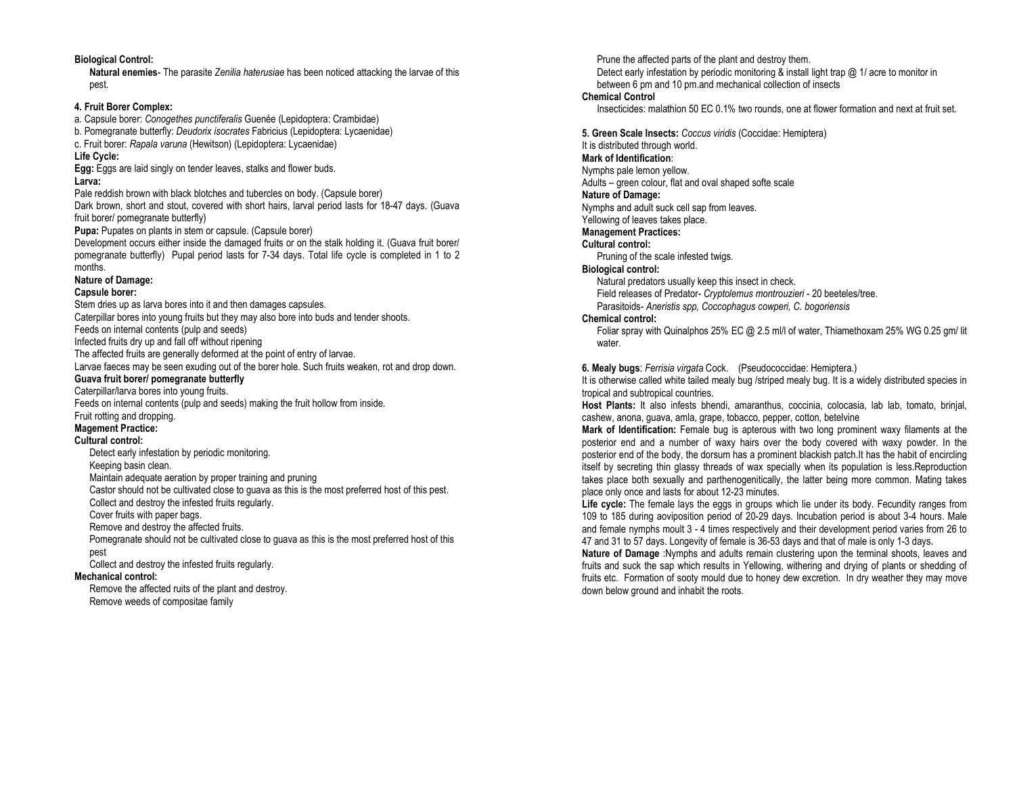## Biological Control:

Natural enemies- The parasite Zenilia haterusiae has been noticed attacking the larvae of this pest.

#### 4. Fruit Borer Complex:

a. Capsule borer: Conogethes punctiferalis Guenée (Lepidoptera: Crambidae)

- b. Pomegranate butterfly: Deudorix isocrates Fabricius (Lepidoptera: Lycaenidae)
- c. Fruit borer: Rapala varuna (Hewitson) (Lepidoptera: Lycaenidae)

#### Life Cycle:

Egg: Eggs are laid singly on tender leaves, stalks and flower buds. Larva:

 Pale reddish brown with black blotches and tubercles on body. (Capsule borer) Dark brown, short and stout, covered with short hairs, larval period lasts for 18-47 days. (Guava fruit borer/ pomegranate butterfly)

Pupa: Pupates on plants in stem or capsule. (Capsule borer)

Development occurs either inside the damaged fruits or on the stalk holding it. (Guava fruit borer/ pomegranate butterfly) Pupal period lasts for 7-34 days. Total life cycle is completed in 1 to 2 months.

#### Nature of Damage:

#### Capsule borer:

 Stem dries up as larva bores into it and then damages capsules. Caterpillar bores into young fruits but they may also bore into buds and tender shoots.

Feeds on internal contents (pulp and seeds)

Infected fruits dry up and fall off without ripening

The affected fruits are generally deformed at the point of entry of larvae.

Larvae faeces may be seen exuding out of the borer hole. Such fruits weaken, rot and drop down.

## Guava fruit borer/ pomegranate butterfly

Caterpillar/larva bores into young fruits.

Feeds on internal contents (pulp and seeds) making the fruit hollow from inside.

Fruit rotting and dropping.

# Magement Practice:

#### Cultural control:

Detect early infestation by periodic monitoring.

Keeping basin clean.

Maintain adequate aeration by proper training and pruning

Castor should not be cultivated close to guava as this is the most preferred host of this pest.

Collect and destroy the infested fruits regularly.

Cover fruits with paper bags.

Remove and destroy the affected fruits.

 Pomegranate should not be cultivated close to guava as this is the most preferred host of this pest

Collect and destroy the infested fruits regularly.

#### Mechanical control:

 Remove the affected ruits of the plant and destroy.Remove weeds of compositae family

Prune the affected parts of the plant and destroy them. Detect early infestation by periodic monitoring & install light trap @ 1/ acre to monitor in between 6 pm and 10 pm.and mechanical collection of insects

#### Chemical Control

Insecticides: malathion 50 EC 0.1% two rounds, one at flower formation and next at fruit set.

5. Green Scale Insects: Coccus viridis (Coccidae: Hemiptera)

## It is distributed through world.

Mark of Identification:

Nymphs pale lemon yellow.

Adults – green colour, flat and oval shaped softe scale

## Nature of Damage:

Nymphs and adult suck cell sap from leaves.

Yellowing of leaves takes place. Management Practices:

# Cultural control:

Pruning of the scale infested twigs.

# Biological control:

Natural predators usually keep this insect in check.

Field releases of Predator- Cryptolemus montrouzieri - 20 beeteles/tree.

Parasitoids- Aneristis spp, Coccophagus cowperi, C. bogoriensis

## Chemical control:

 Foliar spray with Quinalphos 25% EC @ 2.5 ml/l of water, Thiamethoxam 25% WG 0.25 gm/ lit water.

#### 6. Mealy bugs: Ferrisia virgata Cock. (Pseudococcidae: Hemiptera.)

 It is otherwise called white tailed mealy bug /striped mealy bug. It is a widely distributed species in tropical and subtropical countries.

Host Plants: It also infests bhendi, amaranthus, coccinia, colocasia, lab lab, tomato, brinjal, cashew, anona, guava, amla, grape, tobacco, pepper, cotton, betelvine

Mark of Identification: Female bug is apterous with two long prominent waxy filaments at the posterior end and a number of waxy hairs over the body covered with waxy powder. In the posterior end of the body, the dorsum has a prominent blackish patch.It has the habit of encircling itself by secreting thin glassy threads of wax specially when its population is less.Reproduction takes place both sexually and parthenogenitically, the latter being more common. Mating takes place only once and lasts for about 12-23 minutes.

Life cycle: The female lays the eggs in groups which lie under its body. Fecundity ranges from 109 to 185 during aoviposition period of 20-29 days. Incubation period is about 3-4 hours. Male and female nymphs moult 3 - 4 times respectively and their development period varies from 26 to 47 and 31 to 57 days. Longevity of female is 36-53 days and that of male is only 1-3 days.

Nature of Damage :Nymphs and adults remain clustering upon the terminal shoots, leaves and fruits and suck the sap which results in Yellowing, withering and drying of plants or shedding of fruits etc. Formation of sooty mould due to honey dew excretion. In dry weather they may move down below ground and inhabit the roots.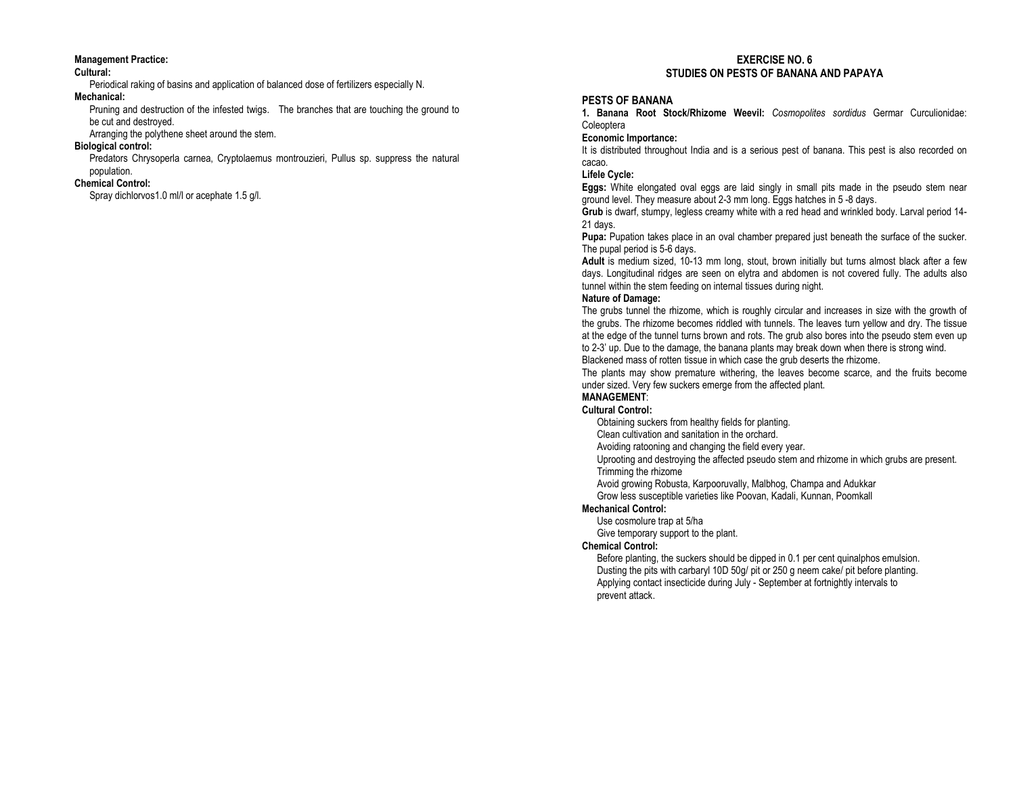#### Management Practice:

#### Cultural:

Periodical raking of basins and application of balanced dose of fertilizers especially N.

#### Mechanical:

 Pruning and destruction of the infested twigs. The branches that are touching the ground to be cut and destroyed.

Arranging the polythene sheet around the stem.

#### Biological control:

 Predators Chrysoperla carnea, Cryptolaemus montrouzieri, Pullus sp. suppress the natural population.

## Chemical Control:

Spray dichlorvos1.0 ml/l or acephate 1.5 g/l.

## EXERCISE NO. 6 STUDIES ON PESTS OF BANANA AND PAPAYA

## PESTS OF BANANA

1. Banana Root Stock/Rhizome Weevil: Cosmopolites sordidus Germar Curculionidae: **Coleoptera** 

## Economic Importance:

 It is distributed throughout India and is a serious pest of banana. This pest is also recorded on cacao.

## Lifele Cycle:

Eggs: White elongated oval eggs are laid singly in small pits made in the pseudo stem near ground level. They measure about 2-3 mm long. Eggs hatches in 5 -8 days.

Grub is dwarf, stumpy, legless creamy white with a red head and wrinkled body. Larval period 14-21 days.

Pupa: Pupation takes place in an oval chamber prepared just beneath the surface of the sucker. The pupal period is 5-6 days.

Adult is medium sized, 10-13 mm long, stout, brown initially but turns almost black after a few days. Longitudinal ridges are seen on elytra and abdomen is not covered fully. The adults also tunnel within the stem feeding on internal tissues during night.

#### Nature of Damage:

 The grubs tunnel the rhizome, which is roughly circular and increases in size with the growth of the grubs. The rhizome becomes riddled with tunnels. The leaves turn yellow and dry. The tissue at the edge of the tunnel turns brown and rots. The grub also bores into the pseudo stem even up to 2-3' up. Due to the damage, the banana plants may break down when there is strong wind. Blackened mass of rotten tissue in which case the grub deserts the rhizome.

 The plants may show premature withering, the leaves become scarce, and the fruits become under sized. Very few suckers emerge from the affected plant.

#### **MANAGEMENT:** Cultural Control:

Obtaining suckers from healthy fields for planting.

Clean cultivation and sanitation in the orchard.

Avoiding ratooning and changing the field every year.

 Uprooting and destroying the affected pseudo stem and rhizome in which grubs are present. Trimming the rhizome

Avoid growing Robusta, Karpooruvally, Malbhog, Champa and Adukkar

Grow less susceptible varieties like Poovan, Kadali, Kunnan, Poomkall

## Mechanical Control:

Use cosmolure trap at 5/ha

Give temporary support to the plant.

#### Chemical Control:

 Before planting, the suckers should be dipped in 0.1 per cent quinalphos emulsion. Dusting the pits with carbaryl 10D 50g/ pit or 250 g neem cake/ pit before planting. Applying contact insecticide during July - September at fortnightly intervals to prevent attack.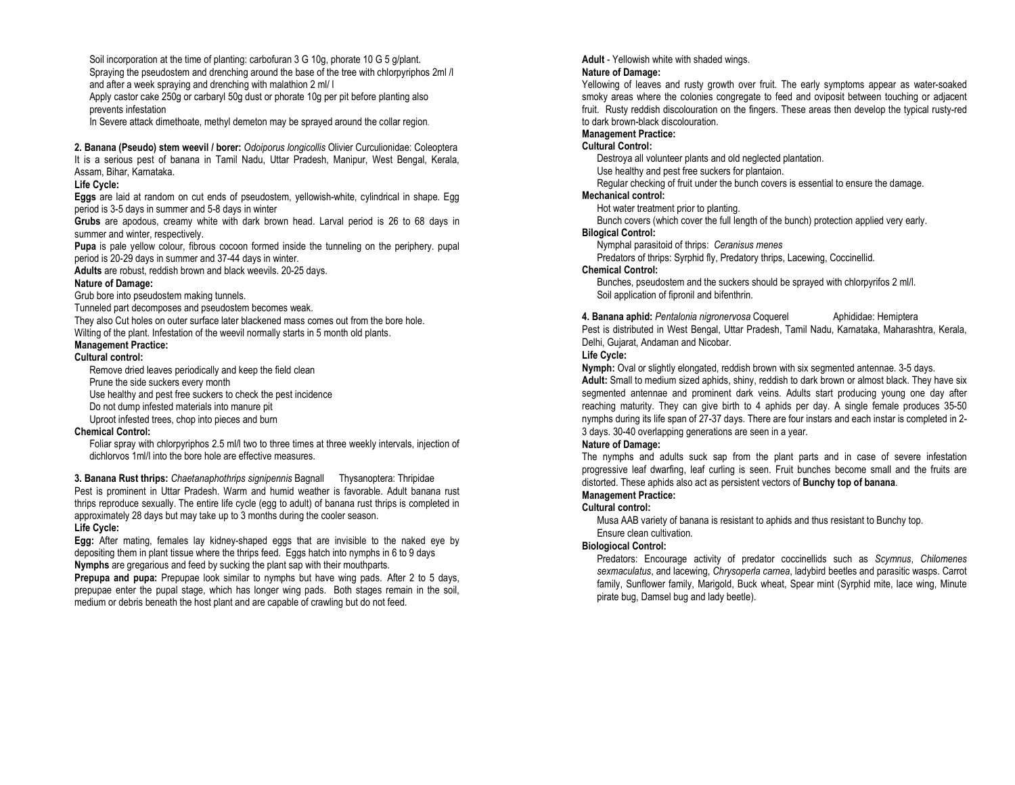Soil incorporation at the time of planting: carbofuran 3 G 10g, phorate 10 G 5 g/plant. Spraying the pseudostem and drenching around the base of the tree with chlorpyriphos 2ml /l and after a week spraying and drenching with malathion 2 ml/ l

 Apply castor cake 250g or carbaryl 50g dust or phorate 10g per pit before planting also prevents infestation

In Severe attack dimethoate, methyl demeton may be sprayed around the collar region.

2. Banana (Pseudo) stem weevil / borer: Odoiporus longicollis Olivier Curculionidae: Coleoptera It is a serious pest of banana in Tamil Nadu, Uttar Pradesh, Manipur, West Bengal, Kerala, Assam, Bihar, Karnataka.

#### Life Cycle:

Eggs are laid at random on cut ends of pseudostem, yellowish-white, cylindrical in shape. Egg period is 3-5 days in summer and 5-8 days in winter

Grubs are apodous, creamy white with dark brown head. Larval period is 26 to 68 days in summer and winter, respectively.

Pupa is pale yellow colour, fibrous cocoon formed inside the tunneling on the periphery. pupal period is 20-29 days in summer and 37-44 days in winter.

Adults are robust, reddish brown and black weevils. 20-25 days.

## Nature of Damage:

Grub bore into pseudostem making tunnels.

Tunneled part decomposes and pseudostem becomes weak.

They also Cut holes on outer surface later blackened mass comes out from the bore hole.

Wilting of the plant. Infestation of the weevil normally starts in 5 month old plants.

# Management Practice:

## Cultural control:

Remove dried leaves periodically and keep the field clean

Prune the side suckers every month

Use healthy and pest free suckers to check the pest incidence

Do not dump infested materials into manure pit

Uproot infested trees, chop into pieces and burn

## Chemical Control:

 Foliar spray with chlorpyriphos 2.5 ml/l two to three times at three weekly intervals, injection of dichlorvos 1ml/l into the bore hole are effective measures.

3. Banana Rust thrips: Chaetanaphothrips signipennis Bagnall Thysanoptera: Thripidae Pest is prominent in Uttar Pradesh. Warm and humid weather is favorable. Adult banana rust thrips reproduce sexually. The entire life cycle (egg to adult) of banana rust thrips is completed in approximately 28 days but may take up to 3 months during the cooler season. Life Cycle:

#### Egg: After mating, females lay kidney-shaped eggs that are invisible to the naked eye by depositing them in plant tissue where the thrips feed. Eggs hatch into nymphs in 6 to 9 days Nymphs are gregarious and feed by sucking the plant sap with their mouthparts.

Prepupa and pupa: Prepupae look similar to nymphs but have wing pads. After 2 to 5 days, prepupae enter the pupal stage, which has longer wing pads. Both stages remain in the soil, medium or debris beneath the host plant and are capable of crawling but do not feed.

Adult - Yellowish white with shaded wings.

## Nature of Damage:

 Yellowing of leaves and rusty growth over fruit. The early symptoms appear as water-soaked smoky areas where the colonies congregate to feed and oviposit between touching or adjacent fruit. Rusty reddish discolouration on the fingers. These areas then develop the typical rusty-red to dark brown-black discolouration.

## Management Practice:

#### Cultural Control:

Destroya all volunteer plants and old neglected plantation.

Use healthy and pest free suckers for plantaion.

 Regular checking of fruit under the bunch covers is essential to ensure the damage. Mechanical control:

Hot water treatment prior to planting.

Bunch covers (which cover the full length of the bunch) protection applied very early.

## Bilogical Control:

Nymphal parasitoid of thrips: Ceranisus menes

Predators of thrips: Syrphid fly, Predatory thrips, Lacewing, Coccinellid.

#### Chemical Control:

 Bunches, pseudostem and the suckers should be sprayed with chlorpyrifos 2 ml/l. Soil application of fipronil and bifenthrin.

4. Banana aphid: Pentalonia nigronervosa Coquerel Aphididae: Hemiptera Pest is distributed in West Bengal, Uttar Pradesh, Tamil Nadu, Karnataka, Maharashtra, Kerala, Delhi, Gujarat, Andaman and Nicobar.

## Life Cycle:

Nymph: Oval or slightly elongated, reddish brown with six segmented antennae. 3-5 days. Adult: Small to medium sized aphids, shiny, reddish to dark brown or almost black. They have six segmented antennae and prominent dark veins. Adults start producing young one day after reaching maturity. They can give birth to 4 aphids per day. A single female produces 35-50 nymphs during its life span of 27-37 days. There are four instars and each instar is completed in 2-3 days. 30-40 overlapping generations are seen in a year.

## Nature of Damage:

 The nymphs and adults suck sap from the plant parts and in case of severe infestation progressive leaf dwarfing, leaf curling is seen. Fruit bunches become small and the fruits are distorted. These aphids also act as persistent vectors of Bunchy top of banana.

# Management Practice:

## Cultural control:

 Musa AAB variety of banana is resistant to aphids and thus resistant to Bunchy top. Ensure clean cultivation.

## Biologiocal Control:

Predators: Encourage activity of predator coccinellids such as Scymnus, Chilomenes sexmaculatus, and lacewing, Chrysoperla carnea, ladybird beetles and parasitic wasps. Carrot family, Sunflower family, Marigold, Buck wheat, Spear mint (Syrphid mite, lace wing, Minute pirate bug, Damsel bug and lady beetle).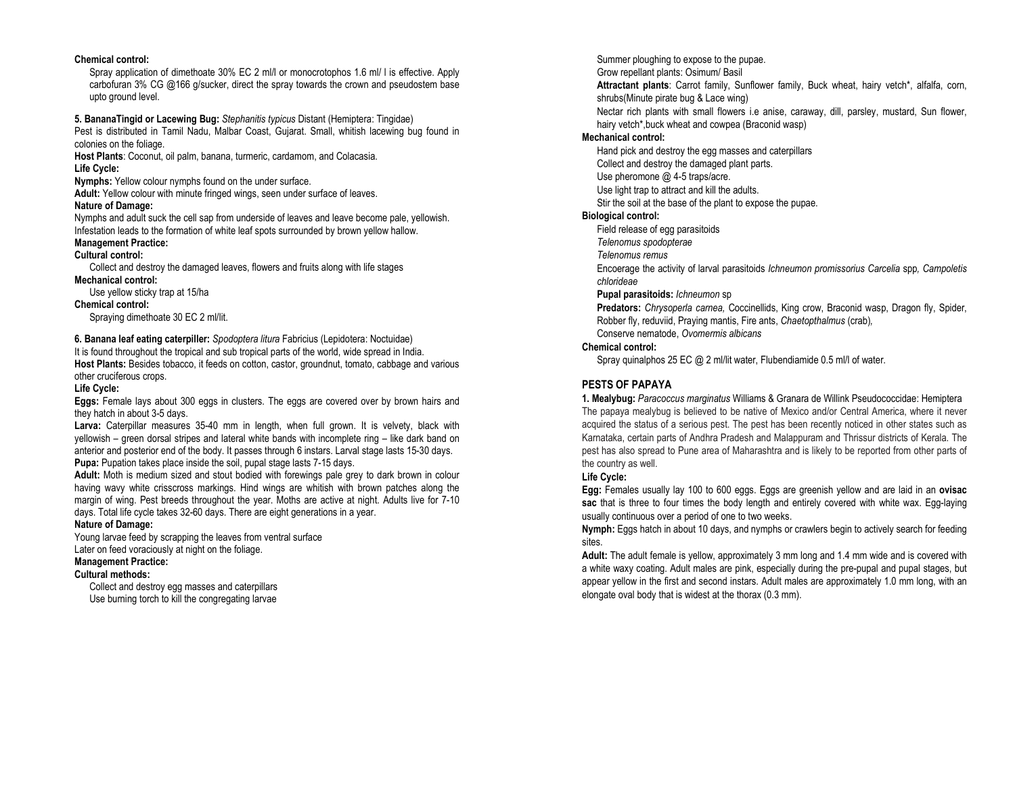#### Chemical control:

 Spray application of dimethoate 30% EC 2 ml/l or monocrotophos 1.6 ml/ l is effective. Apply carbofuran 3% CG @166 g/sucker, direct the spray towards the crown and pseudostem base upto ground level.

5. BananaTingid or Lacewing Bug: Stephanitis typicus Distant (Hemiptera: Tingidae) Pest is distributed in Tamil Nadu, Malbar Coast, Gujarat. Small, whitish lacewing bug found in

## colonies on the foliage.

Host Plants: Coconut, oil palm, banana, turmeric, cardamom, and Colacasia. Life Cycle:

Nymphs: Yellow colour nymphs found on the under surface.

Adult: Yellow colour with minute fringed wings, seen under surface of leaves.

#### Nature of Damage:

 Nymphs and adult suck the cell sap from underside of leaves and leave become pale, yellowish. Infestation leads to the formation of white leaf spots surrounded by brown yellow hallow. Management Practice:

# Cultural control:

 Collect and destroy the damaged leaves, flowers and fruits along with life stages Mechanical control:

Use yellow sticky trap at 15/ha

#### Chemical control:

Spraying dimethoate 30 EC 2 ml/lit.

6. Banana leaf eating caterpiller: Spodoptera litura Fabricius (Lepidotera: Noctuidae)

 It is found throughout the tropical and sub tropical parts of the world, wide spread in India. Host Plants: Besides tobacco, it feeds on cotton, castor, groundnut, tomato, cabbage and various other cruciferous crops.

## Life Cycle:

Eggs: Female lays about 300 eggs in clusters. The eggs are covered over by brown hairs and they hatch in about 3-5 days.

Larva: Caterpillar measures 35-40 mm in length, when full grown. It is velvety, black with yellowish – green dorsal stripes and lateral white bands with incomplete ring – like dark band on anterior and posterior end of the body. It passes through 6 instars. Larval stage lasts 15-30 days. Pupa: Pupation takes place inside the soil, pupal stage lasts 7-15 days.

Adult: Moth is medium sized and stout bodied with forewings pale grey to dark brown in colour having wavy white crisscross markings. Hind wings are whitish with brown patches along the margin of wing. Pest breeds throughout the year. Moths are active at night. Adults live for 7-10 days. Total life cycle takes 32-60 days. There are eight generations in a year.

## Nature of Damage:

 Young larvae feed by scrapping the leaves from ventral surface Later on feed voraciously at night on the foliage.

## Management Practice:

Cultural methods:

 Collect and destroy egg masses and caterpillars Use burning torch to kill the congregating larvae

Summer ploughing to expose to the pupae. Grow repellant plants: Osimum/ Basil

Attractant plants: Carrot family, Sunflower family, Buck wheat, hairy vetch\*, alfalfa, corn, shrubs(Minute pirate bug & Lace wing)

Nectar rich plants with small flowers i.e anise, caraway, dill, parsley, mustard, Sun flower, hairy vetch\*, buck wheat and cowpea (Braconid wasp)

## Mechanical control:

Hand pick and destroy the egg masses and caterpillars

Collect and destroy the damaged plant parts.

Use pheromone @ 4-5 traps/acre.

Use light trap to attract and kill the adults.

Stir the soil at the base of the plant to expose the pupae.

#### Biological control:

Field release of egg parasitoids

Telenomus spodopterae

Telenomus remus

 Encoerage the activity of larval parasitoids Ichneumon promissorius Carcelia spp, Campoletis chlorideae

Pupal parasitoids: Ichneumon sp

Predators: Chrysoperla carnea, Coccinellids, King crow, Braconid wasp, Dragon fly, Spider, Robber fly, reduviid, Praying mantis, Fire ants, Chaetopthalmus (crab), Conserve nematode, Ovomermis albicans

#### Chemical control:

Spray quinalphos 25 EC @ 2 ml/lit water, Flubendiamide 0.5 ml/l of water.

# PESTS OF PAPAYA

1. Mealybug: Paracoccus marginatus Williams & Granara de Willink Pseudococcidae: Hemiptera The papaya mealybug is believed to be native of Mexico and/or Central America, where it never acquired the status of a serious pest. The pest has been recently noticed in other states such as Karnataka, certain parts of Andhra Pradesh and Malappuram and Thrissur districts of Kerala. The pest has also spread to Pune area of Maharashtra and is likely to be reported from other parts of the country as well.

## Life Cycle:

Egg: Females usually lay 100 to 600 eggs. Eggs are greenish yellow and are laid in an ovisac sac that is three to four times the body length and entirely covered with white wax. Egg-laying usually continuous over a period of one to two weeks.

Nymph: Eggs hatch in about 10 days, and nymphs or crawlers begin to actively search for feeding sites.

Adult: The adult female is yellow, approximately 3 mm long and 1.4 mm wide and is covered with a white waxy coating. Adult males are pink, especially during the pre-pupal and pupal stages, but appear yellow in the first and second instars. Adult males are approximately 1.0 mm long, with an elongate oval body that is widest at the thorax (0.3 mm).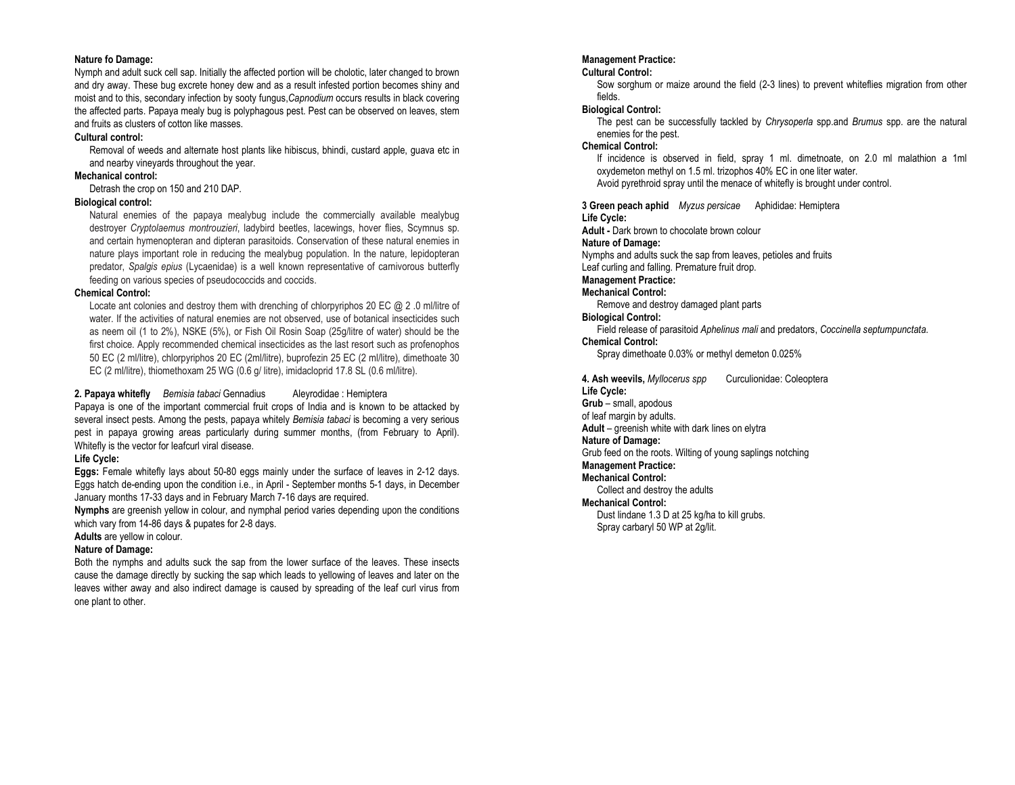#### Nature fo Damage:

 Nymph and adult suck cell sap. Initially the affected portion will be cholotic, later changed to brown and dry away. These bug excrete honey dew and as a result infested portion becomes shiny and moist and to this, secondary infection by sooty fungus, Capnodium occurs results in black covering the affected parts. Papaya mealy bug is polyphagous pest. Pest can be observed on leaves, stem and fruits as clusters of cotton like masses.

#### Cultural control:

 Removal of weeds and alternate host plants like hibiscus, bhindi, custard apple, guava etc in and nearby vineyards throughout the year.

#### Mechanical control:

Detrash the crop on 150 and 210 DAP.

#### Biological control:

Natural enemies of the papaya mealybug include the commercially available mealybug destroyer Cryptolaemus montrouzieri, ladybird beetles, lacewings, hover flies, Scymnus sp. and certain hymenopteran and dipteran parasitoids. Conservation of these natural enemies in nature plays important role in reducing the mealybug population. In the nature, lepidopteran predator, Spalgis epius (Lycaenidae) is a well known representative of carnivorous butterfly feeding on various species of pseudococcids and coccids.

#### Chemical Control:

Locate ant colonies and destroy them with drenching of chlorpyriphos 20 EC @ 2.0 ml/litre of water. If the activities of natural enemies are not observed, use of botanical insecticides such as neem oil (1 to 2%), NSKE (5%), or Fish Oil Rosin Soap (25g/litre of water) should be the first choice. Apply recommended chemical insecticides as the last resort such as profenophos 50 EC (2 ml/litre), chlorpyriphos 20 EC (2ml/litre), buprofezin 25 EC (2 ml/litre), dimethoate 30 EC (2 ml/litre), thiomethoxam 25 WG (0.6 g/ litre), imidacloprid 17.8 SL (0.6 ml/litre).

#### 2. Papaya whitefly Bemisia tabaci Gennadius Aleyrodidae : Hemiptera

 Papaya is one of the important commercial fruit crops of India and is known to be attacked by several insect pests. Among the pests, papaya whitely Bemisia tabaci is becoming a very serious pest in papaya growing areas particularly during summer months, (from February to April). Whitefly is the vector for leafcurl viral disease.

## Life Cycle:

Eggs: Female whitefly lays about 50-80 eggs mainly under the surface of leaves in 2-12 days. Eggs hatch de-ending upon the condition i.e., in April - September months 5-1 days, in December January months 17-33 days and in February March 7-16 days are required.

Nymphs are greenish yellow in colour, and nymphal period varies depending upon the conditions which vary from 14-86 days & pupates for 2-8 days.

## Adults are yellow in colour.

## Nature of Damage:

 Both the nymphs and adults suck the sap from the lower surface of the leaves. These insects cause the damage directly by sucking the sap which leads to yellowing of leaves and later on the leaves wither away and also indirect damage is caused by spreading of the leaf curl virus from one plant to other.

## Management Practice:

## Cultural Control:

 Sow sorghum or maize around the field (2-3 lines) to prevent whiteflies migration from other fields.

## Biological Control:

The pest can be successfully tackled by Chrysoperla spp.and Brumus spp. are the natural enemies for the pest.

#### Chemical Control:

 If incidence is observed in field, spray 1 ml. dimetnoate, on 2.0 ml malathion a 1ml oxydemeton methyl on 1.5 ml. trizophos 40% EC in one liter water. Avoid pyrethroid spray until the menace of whitefly is brought under control.

3 Green peach aphid Myzus persicae Aphididae: HemipteraLife Cycle: Adult - Dark brown to chocolate brown colour Nature of Damage: Nymphs and adults suck the sap from leaves, petioles and fruits Leaf curling and falling. Premature fruit drop. Management Practice: Mechanical Control: Remove and destroy damaged plant parts Biological Control:

 Field release of parasitoid Aphelinus mali and predators, Coccinella septumpunctata. Chemical Control:

# Spray dimethoate 0.03% or methyl demeton 0.025%

4. Ash weevils, Myllocerus spp Curculionidae: Coleoptera Life Cycle: Grub - small, apodous of leaf margin by adults. Adult – greenish white with dark lines on elytra Nature of Damage: Grub feed on the roots. Wilting of young saplings notching Management Practice: Mechanical Control: Collect and destroy the adults Mechanical Control: Dust lindane 1.3 D at 25 kg/ha to kill grubs. Spray carbaryl 50 WP at 2g/lit.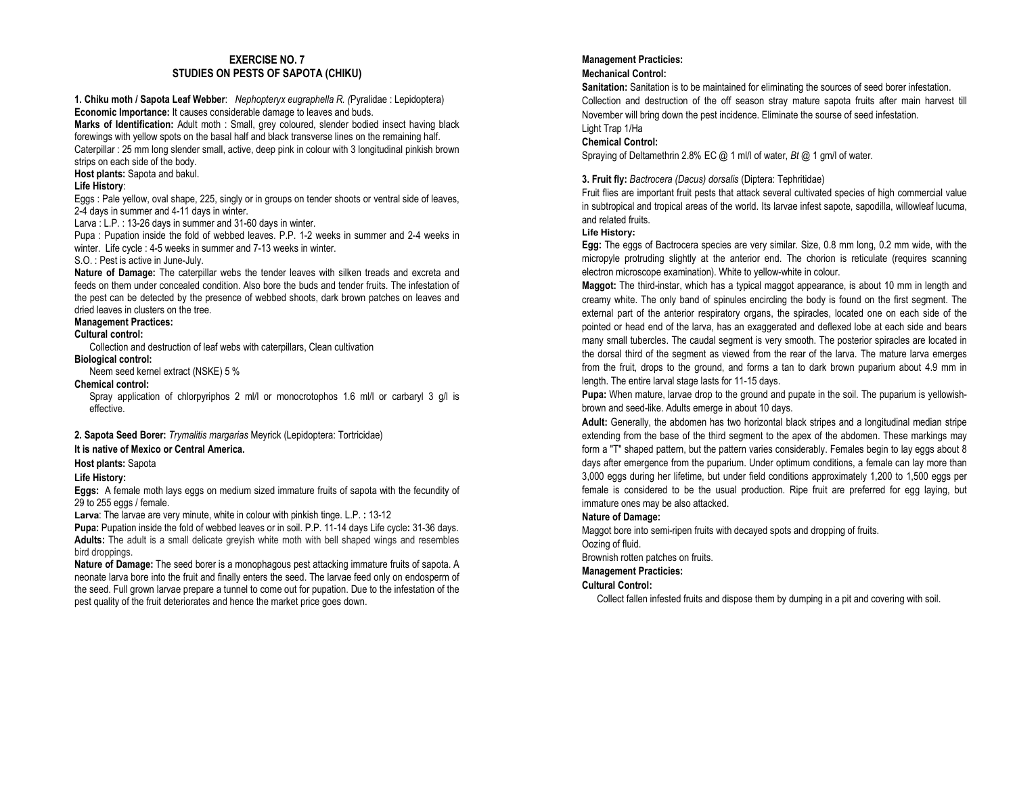## EXERCISE NO. 7 STUDIES ON PESTS OF SAPOTA (CHIKU)

1. Chiku moth / Sapota Leaf Webber: Nephopteryx eugraphella R. (Pyralidae : Lepidoptera) Economic Importance: It causes considerable damage to leaves and buds.

Marks of Identification: Adult moth : Small, grey coloured, slender bodied insect having black forewings with yellow spots on the basal half and black transverse lines on the remaining half. Caterpillar : 25 mm long slender small, active, deep pink in colour with 3 longitudinal pinkish brown strips on each side of the body.

Host plants: Sapota and bakul.

## Life History:

 Eggs : Pale yellow, oval shape, 225, singly or in groups on tender shoots or ventral side of leaves, 2-4 days in summer and 4-11 days in winter.

Larva : L.P. : 13-26 days in summer and 31-60 days in winter.

 Pupa : Pupation inside the fold of webbed leaves. P.P. 1-2 weeks in summer and 2-4 weeks in winter. Life cycle : 4-5 weeks in summer and 7-13 weeks in winter.

S.O. : Pest is active in June-July.

Nature of Damage: The caterpillar webs the tender leaves with silken treads and excreta and feeds on them under concealed condition. Also bore the buds and tender fruits. The infestation of the pest can be detected by the presence of webbed shoots, dark brown patches on leaves and dried leaves in clusters on the tree.

## Management Practices:

## Cultural control:

Collection and destruction of leaf webs with caterpillars, Clean cultivation

Biological control: Neem seed kernel extract (NSKE) 5 %

## Chemical control:

 Spray application of chlorpyriphos 2 ml/l or monocrotophos 1.6 ml/l or carbaryl 3 g/l is effective.

2. Sapota Seed Borer: Trymalitis margarias Meyrick (Lepidoptera: Tortricidae)

## It is native of Mexico or Central America.

Host plants: Sapota

## Life History:

Eggs: A female moth lays eggs on medium sized immature fruits of sapota with the fecundity of 29 to 255 eggs / female.

**Larva**: The larvae are very minute, white in colour with pinkish tinge. L.P. : 13-12

Pupa: Pupation inside the fold of webbed leaves or in soil. P.P. 11-14 days Life cycle: 31-36 days. Adults: The adult is a small delicate greyish white moth with bell shaped wings and resembles bird droppings.

Nature of Damage: The seed borer is a monophagous pest attacking immature fruits of sapota. A neonate larva bore into the fruit and finally enters the seed. The larvae feed only on endosperm of the seed. Full grown larvae prepare a tunnel to come out for pupation. Due to the infestation of the pest quality of the fruit deteriorates and hence the market price goes down.

## Management Practicies:

## Mechanical Control:

Sanitation: Sanitation is to be maintained for eliminating the sources of seed borer infestation. Collection and destruction of the off season stray mature sapota fruits after main harvest till November will bring down the pest incidence. Eliminate the sourse of seed infestation. Light Trap 1/Ha

## Chemical Control:

Spraying of Deltamethrin 2.8% EC @ 1 ml/l of water, *Bt* @ 1 gm/l of water.

3. Fruit fly: Bactrocera (Dacus) dorsalis (Diptera: Tephritidae)

Fruit flies are important fruit pests that attack several cultivated species of high commercial value in subtropical and tropical areas of the world. Its larvae infest sapote, sapodilla, willowleaf lucuma, and related fruits.

## **Life History:**

Egg: The eggs of Bactrocera species are very similar. Size, 0.8 mm long, 0.2 mm wide, with the micropyle protruding slightly at the anterior end. The chorion is reticulate (requires scanning electron microscope examination). White to yellow-white in colour.

Maggot: The third-instar, which has a typical maggot appearance, is about 10 mm in length and creamy white. The only band of spinules encircling the body is found on the first segment. The external part of the anterior respiratory organs, the spiracles, located one on each side of the pointed or head end of the larva, has an exaggerated and deflexed lobe at each side and bears many small tubercles. The caudal segment is very smooth. The posterior spiracles are located in the dorsal third of the segment as viewed from the rear of the larva. The mature larva emerges from the fruit, drops to the ground, and forms a tan to dark brown puparium about 4.9 mm in length. The entire larval stage lasts for 11-15 days.

Pupa: When mature, larvae drop to the ground and pupate in the soil. The puparium is yellowishbrown and seed-like. Adults emerge in about 10 days.

Adult: Generally, the abdomen has two horizontal black stripes and a longitudinal median stripe extending from the base of the third segment to the apex of the abdomen. These markings may form a "T" shaped pattern, but the pattern varies considerably. Females begin to lay eggs about 8 days after emergence from the puparium. Under optimum conditions, a female can lay more than 3,000 eggs during her lifetime, but under field conditions approximately 1,200 to 1,500 eggs per female is considered to be the usual production. Ripe fruit are preferred for egg laying, but immature ones may be also attacked.

## Nature of Damage:

Maggot bore into semi-ripen fruits with decayed spots and dropping of fruits. Oozing of fluid.

Brownish rotten patches on fruits.

## Management Practicies:

## Cultural Control:

Collect fallen infested fruits and dispose them by dumping in a pit and covering with soil.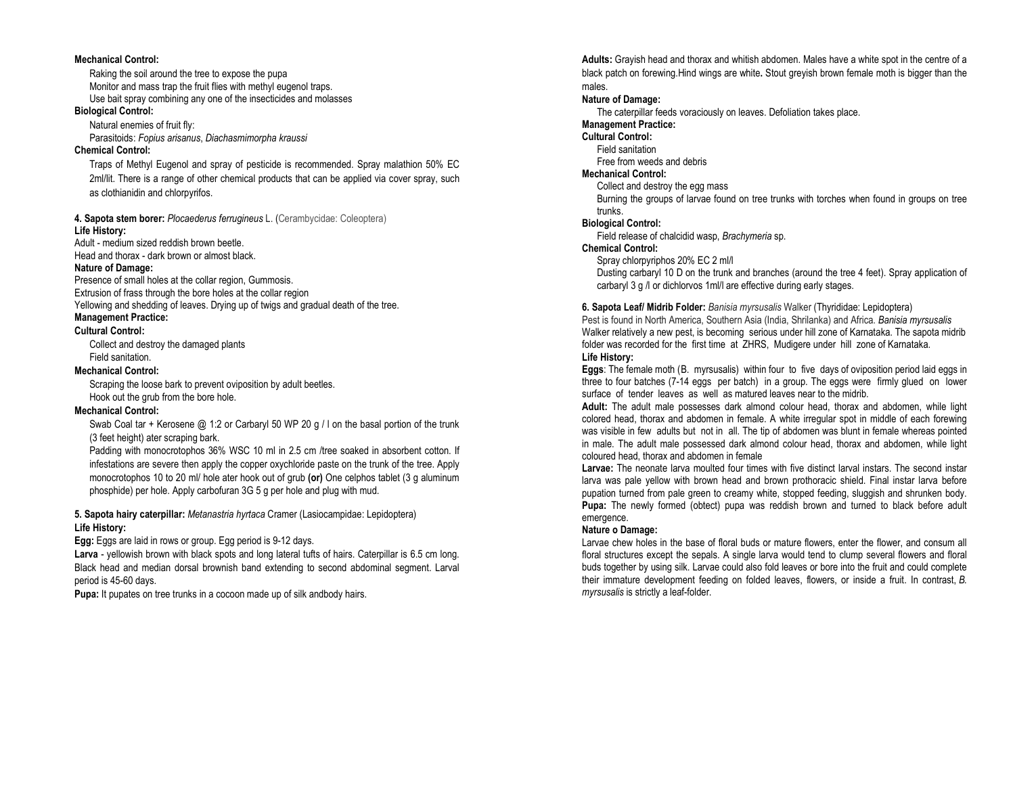#### Mechanical Control:

Raking the soil around the tree to expose the pupa Monitor and mass trap the fruit flies with methyl eugenol traps. Use bait spray combining any one of the insecticides and molasses

## Biological Control:

Natural enemies of fruit fly: Parasitoids: Fopius arisanus, Diachasmimorpha kraussi

## Chemical Control:

Traps of Methyl Eugenol and spray of pesticide is recommended. Spray malathion 50% EC 2ml/lit. There is a range of other chemical products that can be applied via cover spray, such as clothianidin and chlorpyrifos.

# **4. Sapota stem borer:** *Plocaederus ferrugineus* L. (Cerambycidae: Coleoptera)

#### Life History:

 Adult - medium sized reddish brown beetle. Head and thorax - dark brown or almost black.

#### Nature of Damage:

 Presence of small holes at the collar region, Gummosis. Extrusion of frass through the bore holes at the collar region Yellowing and shedding of leaves. Drying up of twigs and gradual death of the tree.

## Management Practice:

#### Cultural Control:

Collect and destroy the damaged plants Field sanitation.

#### Mechanical Control:

Scraping the loose bark to prevent oviposition by adult beetles. Hook out the grub from the bore hole.

#### Mechanical Control:

Swab Coal tar + Kerosene @ 1:2 or Carbaryl 50 WP 20 g / I on the basal portion of the trunk (3 feet height) ater scraping bark.

Padding with monocrotophos 36% WSC 10 ml in 2.5 cm /tree soaked in absorbent cotton. If infestations are severe then apply the copper oxychloride paste on the trunk of the tree. Apply monocrotophos 10 to 20 ml/ hole ater hook out of grub (or) One celphos tablet (3 g aluminum phosphide) per hole. Apply carbofuran 3G 5 g per hole and plug with mud.

## 5. Sapota hairy caterpillar: Metanastria hyrtaca Cramer (Lasiocampidae: Lepidoptera) Life History:

Egg: Eggs are laid in rows or group. Egg period is 9-12 days.

Larva - yellowish brown with black spots and long lateral tufts of hairs. Caterpillar is 6.5 cm long. Black head and median dorsal brownish band extending to second abdominal segment. Larval period is 45-60 days.

Pupa: It pupates on tree trunks in a cocoon made up of silk andbody hairs.

Adults: Gravish head and thorax and whitish abdomen. Males have a white spot in the centre of a black patch on forewing.Hind wings are white. Stout greyish brown female moth is bigger than the males.

## Nature of Damage:

The caterpillar feeds voraciously on leaves. Defoliation takes place.

# Management Practice:

# Cultural Control:

 Field sanitation Free from weeds and debris

## Mechanical Control:

Collect and destroy the egg mass

 Burning the groups of larvae found on tree trunks with torches when found in groups on tree trunks.

#### Biological Control:

Field release of chalcidid wasp, Brachymeria sp.

## Chemical Control:

Spray chlorpyriphos 20% EC 2 ml/l

 Dusting carbaryl 10 D on the trunk and branches (around the tree 4 feet). Spray application of carbaryl 3 g /l or dichlorvos 1ml/l are effective during early stages.

#### 6. Sapota Leaf/ Midrib Folder: Banisia myrsusalis Walker (Thyrididae: Lepidoptera)

Pest is found in North America, Southern Asia (India, Shrilanka) and Africa. Banisia myrsusalis Walker relatively a new pest, is becoming serious under hill zone of Karnataka. The sapota midrib folder was recorded for the first time at ZHRS, Mudigere under hill zone of Karnataka. Life History:

Eggs: The female moth (B. myrsusalis) within four to five days of oviposition period laid eggs in three to four batches (7-14 eggs per batch) in a group. The eggs were firmly glued on lower surface of tender leaves as well as matured leaves near to the midrib.

Adult: The adult male possesses dark almond colour head, thorax and abdomen, while light colored head, thorax and abdomen in female. A white irregular spot in middle of each forewing was visible in few adults but not in all. The tip of abdomen was blunt in female whereas pointed in male. The adult male possessed dark almond colour head, thorax and abdomen, while light coloured head, thorax and abdomen in female

Larvae: The neonate larva moulted four times with five distinct larval instars. The second instar larva was pale yellow with brown head and brown prothoracic shield. Final instar larva before pupation turned from pale green to creamy white, stopped feeding, sluggish and shrunken body. Pupa: The newly formed (obtect) pupa was reddish brown and turned to black before adult emergence.

#### Nature o Damage:

 Larvae chew holes in the base of floral buds or mature flowers, enter the flower, and consum all floral structures except the sepals. A single larva would tend to clump several flowers and floral buds together by using silk. Larvae could also fold leaves or bore into the fruit and could complete their immature development feeding on folded leaves, flowers, or inside a fruit. In contrast, B. myrsusalis is strictly a leaf-folder.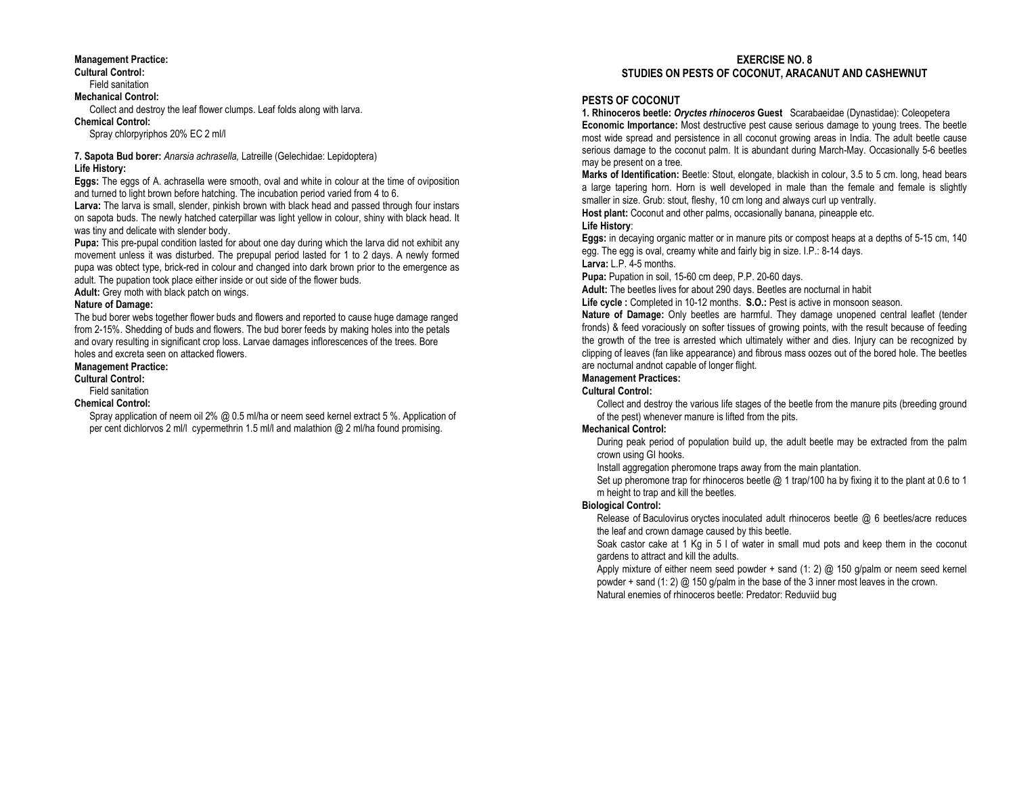#### Management Practice:

Cultural Control: Field sanitation Mechanical Control: Collect and destroy the leaf flower clumps. Leaf folds along with larva. Chemical Control:

Spray chlorpyriphos 20% EC 2 ml/l

#### 7. Sapota Bud borer: Anarsia achrasella, Latreille (Gelechidae: Lepidoptera) Life History:

Eggs: The eggs of A. achrasella were smooth, oval and white in colour at the time of oviposition and turned to light brown before hatching. The incubation period varied from 4 to 6.

Larva: The larva is small, slender, pinkish brown with black head and passed through four instars on sapota buds. The newly hatched caterpillar was light yellow in colour, shiny with black head. It was tiny and delicate with slender body.

Pupa: This pre-pupal condition lasted for about one day during which the larva did not exhibit any movement unless it was disturbed. The prepupal period lasted for 1 to 2 days. A newly formed pupa was obtect type, brick-red in colour and changed into dark brown prior to the emergence as adult. The pupation took place either inside or out side of the flower buds.

Adult: Grey moth with black patch on wings.

#### Nature of Damage:

 The bud borer webs together flower buds and flowers and reported to cause huge damage ranged from 2-15%. Shedding of buds and flowers. The bud borer feeds by making holes into the petals and ovary resulting in significant crop loss. Larvae damages inflorescences of the trees. Bore holes and excreta seen on attacked flowers.

#### Management Practice:

Cultural Control:

#### Field sanitation Chemical Control:

 Spray application of neem oil 2% @ 0.5 ml/ha or neem seed kernel extract 5 %. Application of per cent dichlorvos 2 ml/l cypermethrin 1.5 ml/l and malathion @ 2 ml/ha found promising.

#### EXERCISE NO. 8 STUDIES ON PESTS OF COCONUT, ARACANUT AND CASHEWNUT

## PESTS OF COCONUT

**1. Rhinoceros beetle: Oryctes rhinoceros Guest** Scarabaeidae (Dynastidae): Coleopetera Economic Importance: Most destructive pest cause serious damage to young trees. The beetle most wide spread and persistence in all coconut growing areas in India. The adult beetle cause serious damage to the coconut palm. It is abundant during March-May. Occasionally 5-6 beetles may be present on a tree.

Marks of Identification: Beetle: Stout, elongate, blackish in colour, 3.5 to 5 cm. long, head bears a large tapering horn. Horn is well developed in male than the female and female is slightly smaller in size. Grub: stout, fleshy, 10 cm long and always curl up ventrally.

Host plant: Coconut and other palms, occasionally banana, pineapple etc.

#### Life History:

Eggs: in decaying organic matter or in manure pits or compost heaps at a depths of 5-15 cm, 140 egg. The egg is oval, creamy white and fairly big in size. I.P.: 8-14 days. Larva: L.P. 4-5 months.

Pupa: Pupation in soil, 15-60 cm deep, P.P. 20-60 days.

Adult: The beetles lives for about 290 days. Beetles are nocturnal in habit

Life cycle : Completed in 10-12 months. S.O.: Pest is active in monsoon season.

Nature of Damage: Only beetles are harmful. They damage unopened central leaflet (tender fronds) & feed voraciously on softer tissues of growing points, with the result because of feeding the growth of the tree is arrested which ultimately wither and dies. Injury can be recognized by clipping of leaves (fan like appearance) and fibrous mass oozes out of the bored hole. The beetles are nocturnal andnot capable of longer flight.

## Management Practices:

#### Cultural Control:

 Collect and destroy the various life stages of the beetle from the manure pits (breeding ground of the pest) whenever manure is lifted from the pits.

## Mechanical Control:

 During peak period of population build up, the adult beetle may be extracted from the palm crown using GI hooks.

Install aggregation pheromone traps away from the main plantation.

Set up pheromone trap for rhinoceros beetle  $@$  1 trap/100 ha by fixing it to the plant at 0.6 to 1 m height to trap and kill the beetles.

#### Biological Control:

 Release of Baculovirus oryctes inoculated adult rhinoceros beetle @ 6 beetles/acre reduces the leaf and crown damage caused by this beetle.

 Soak castor cake at 1 Kg in 5 l of water in small mud pots and keep them in the coconut gardens to attract and kill the adults.

 Apply mixture of either neem seed powder + sand (1: 2) @ 150 g/palm or neem seed kernel powder + sand (1: 2)  $\omega$  150 g/palm in the base of the 3 inner most leaves in the crown.

Natural enemies of rhinoceros beetle: Predator: Reduviid bug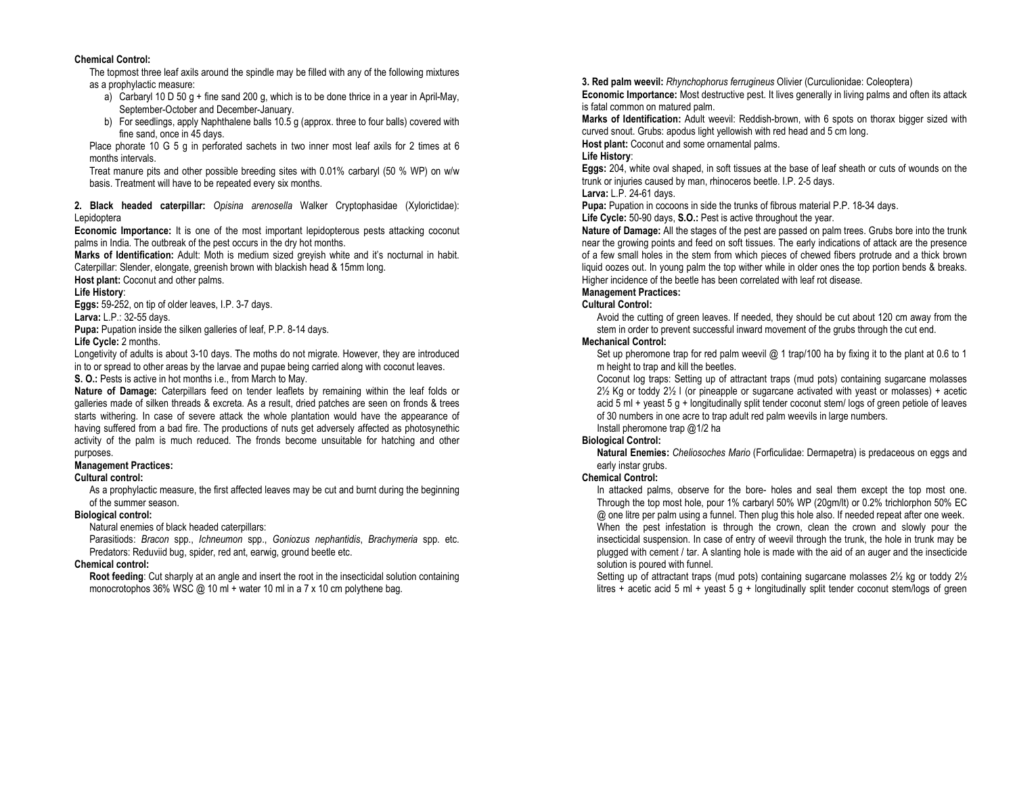#### Chemical Control:

 The topmost three leaf axils around the spindle may be filled with any of the following mixtures as a prophylactic measure:

- a) Carbaryl 10 D 50 g + fine sand 200 g, which is to be done thrice in a year in April-May, September-October and December-January.
- b) For seedlings, apply Naphthalene balls 10.5 g (approx. three to four balls) covered with fine sand, once in 45 days.

 Place phorate 10 G 5 g in perforated sachets in two inner most leaf axils for 2 times at 6 months intervals.

 Treat manure pits and other possible breeding sites with 0.01% carbaryl (50 % WP) on w/w basis. Treatment will have to be repeated every six months.

2. Black headed caterpillar: Opisina arenosella Walker Cryptophasidae (Xylorictidae): Lepidoptera

Economic Importance: It is one of the most important lepidopterous pests attacking coconut palms in India. The outbreak of the pest occurs in the dry hot months.

Marks of Identification: Adult: Moth is medium sized greyish white and it's nocturnal in habit. Caterpillar: Slender, elongate, greenish brown with blackish head & 15mm long.

Host plant: Coconut and other palms.

#### Life History:

Eggs: 59-252, on tip of older leaves, I.P. 3-7 days.

## Larva: L.P.: 32-55 days.

Pupa: Pupation inside the silken galleries of leaf, P.P. 8-14 days.

#### Life Cycle: 2 months.

 Longetivity of adults is about 3-10 days. The moths do not migrate. However, they are introduced in to or spread to other areas by the larvae and pupae being carried along with coconut leaves.

S. O.: Pests is active in hot months i.e., from March to May.

Nature of Damage: Caterpillars feed on tender leaflets by remaining within the leaf folds or galleries made of silken threads & excreta. As a result, dried patches are seen on fronds & trees starts withering. In case of severe attack the whole plantation would have the appearance of having suffered from a bad fire. The productions of nuts get adversely affected as photosynethic activity of the palm is much reduced. The fronds become unsuitable for hatching and other purposes.

## Management Practices:

#### Cultural control:

 As a prophylactic measure, the first affected leaves may be cut and burnt during the beginning of the summer season.

#### Biological control:

Natural enemies of black headed caterpillars:

 Parasitiods: Bracon spp., Ichneumon spp., Goniozus nephantidis, Brachymeria spp. etc. Predators: Reduviid bug, spider, red ant, earwig, ground beetle etc.

## Chemical control:

Root feeding: Cut sharply at an angle and insert the root in the insecticidal solution containing monocrotophos 36% WSC @ 10 ml + water 10 ml in a 7 x 10 cm polythene bag.

3. Red palm weevil: Rhynchophorus ferrugineus Olivier (Curculionidae: Coleoptera) Economic Importance: Most destructive pest. It lives generally in living palms and often its attack is fatal common on matured palm.

Marks of Identification: Adult weevil: Reddish-brown, with 6 spots on thorax bigger sized with curved snout. Grubs: apodus light yellowish with red head and 5 cm long.

# Host plant: Coconut and some ornamental palms.

## Life History:

Eggs: 204, white oval shaped, in soft tissues at the base of leaf sheath or cuts of wounds on the trunk or injuries caused by man, rhinoceros beetle. I.P. 2-5 days.

#### Larva: L.P. 24-61 days.

Pupa: Pupation in cocoons in side the trunks of fibrous material P.P. 18-34 days.

#### Life Cycle: 50-90 days, S.O.: Pest is active throughout the year.

Nature of Damage: All the stages of the pest are passed on palm trees. Grubs bore into the trunk near the growing points and feed on soft tissues. The early indications of attack are the presence of a few small holes in the stem from which pieces of chewed fibers protrude and a thick brown liquid oozes out. In young palm the top wither while in older ones the top portion bends & breaks. Higher incidence of the beetle has been correlated with leaf rot disease.

## Management Practices:

## Cultural Control:

 Avoid the cutting of green leaves. If needed, they should be cut about 120 cm away from the stem in order to prevent successful inward movement of the grubs through the cut end.

#### Mechanical Control:

Set up pheromone trap for red palm weevil @ 1 trap/100 ha by fixing it to the plant at 0.6 to 1 m height to trap and kill the beetles.

 Coconut log traps: Setting up of attractant traps (mud pots) containing sugarcane molasses 2½ Kg or toddy 2½ l (or pineapple or sugarcane activated with yeast or molasses) + acetic acid 5 ml + yeast 5 g + longitudinally split tender coconut stem/ logs of green petiole of leaves of 30 numbers in one acre to trap adult red palm weevils in large numbers.

#### Install pheromone trap @1/2 ha

## Biological Control:

Natural Enemies: Cheliosoches Mario (Forficulidae: Dermapetra) is predaceous on eggs and early instar grubs.

## Chemical Control:

 In attacked palms, observe for the bore- holes and seal them except the top most one. Through the top most hole, pour 1% carbaryl 50% WP (20gm/lt) or 0.2% trichlorphon 50% EC @ one litre per palm using a funnel. Then plug this hole also. If needed repeat after one week. When the pest infestation is through the crown, clean the crown and slowly pour the insecticidal suspension. In case of entry of weevil through the trunk, the hole in trunk may be plugged with cement / tar. A slanting hole is made with the aid of an auger and the insecticide solution is poured with funnel.

 Setting up of attractant traps (mud pots) containing sugarcane molasses 2½ kg or toddy 2½ litres + acetic acid 5 ml + yeast 5 g + longitudinally split tender coconut stem/logs of green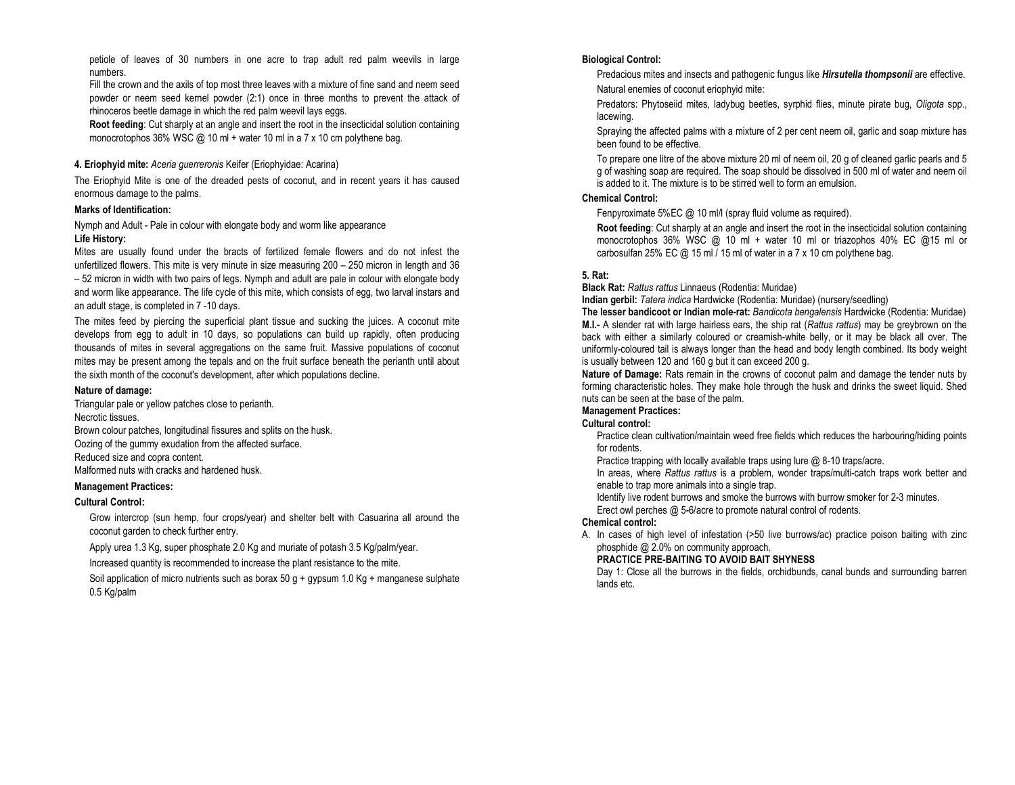petiole of leaves of 30 numbers in one acre to trap adult red palm weevils in large numbers.

 Fill the crown and the axils of top most three leaves with a mixture of fine sand and neem seed powder or neem seed kernel powder (2:1) once in three months to prevent the attack of rhinoceros beetle damage in which the red palm weevil lays eggs.

Root feeding: Cut sharply at an angle and insert the root in the insecticidal solution containing monocrotophos 36% WSC @ 10 ml + water 10 ml in a 7 x 10 cm polythene bag.

#### 4. Eriophyid mite: Aceria guerreronis Keifer (Eriophyidae: Acarina)

The Eriophyid Mite is one of the dreaded pests of coconut, and in recent years it has caused enormous damage to the palms.

#### Marks of Identification:

Nymph and Adult - Pale in colour with elongate body and worm like appearance Life History:

 Mites are usually found under the bracts of fertilized female flowers and do not infest the unfertilized flowers. This mite is very minute in size measuring 200 – 250 micron in length and 36 – 52 micron in width with two pairs of legs. Nymph and adult are pale in colour with elongate body and worm like appearance. The life cycle of this mite, which consists of egg, two larval instars and an adult stage, is completed in 7 -10 days.

The mites feed by piercing the superficial plant tissue and sucking the juices. A coconut mite develops from egg to adult in 10 days, so populations can build up rapidly, often producing thousands of mites in several aggregations on the same fruit. Massive populations of coconut mites may be present among the tepals and on the fruit surface beneath the perianth until about the sixth month of the coconut's development, after which populations decline.

#### Nature of damage:

Triangular pale or yellow patches close to perianth. Necrotic tissues. Brown colour patches, longitudinal fissures and splits on the husk. Oozing of the gummy exudation from the affected surface. Reduced size and copra content. Malformed nuts with cracks and hardened husk.

#### Management Practices:

## Cultural Control:

Grow intercrop (sun hemp, four crops/year) and shelter belt with Casuarina all around the coconut garden to check further entry.

Apply urea 1.3 Kg, super phosphate 2.0 Kg and muriate of potash 3.5 Kg/palm/year.

Increased quantity is recommended to increase the plant resistance to the mite.

Soil application of micro nutrients such as borax 50 g + gypsum 1.0 Kg + manganese sulphate 0.5 Kg/palm

#### Biological Control:

Predacious mites and insects and pathogenic fungus like *Hirsutella thompsonii* are effective. Natural enemies of coconut eriophyid mite:

Predators: Phytoseiid mites, ladybug beetles, syrphid flies, minute pirate bug, Oligota spp., lacewing.

Spraying the affected palms with a mixture of 2 per cent neem oil, garlic and soap mixture has been found to be effective.

To prepare one litre of the above mixture 20 ml of neem oil, 20 g of cleaned garlic pearls and 5 g of washing soap are required. The soap should be dissolved in 500 ml of water and neem oil is added to it. The mixture is to be stirred well to form an emulsion.

## Chemical Control:

Fenpyroximate 5%EC @ 10 ml/l (spray fluid volume as required).

Root feeding: Cut sharply at an angle and insert the root in the insecticidal solution containing monocrotophos 36% WSC @ 10 ml + water 10 ml or triazophos 40% EC @15 ml or carbosulfan 25% EC @ 15 ml / 15 ml of water in a 7 x 10 cm polythene bag.

#### 5. Rat:

Black Rat: Rattus rattus Linnaeus (Rodentia: Muridae)

Indian gerbil: Tatera indica Hardwicke (Rodentia: Muridae) (nursery/seedling)

The lesser bandicoot or Indian mole-rat: Bandicota bengalensis Hardwicke (Rodentia: Muridae) M.I.- A slender rat with large hairless ears, the ship rat (Rattus rattus) may be greybrown on the back with either a similarly coloured or creamish-white belly, or it may be black all over. The uniformly-coloured tail is always longer than the head and body length combined. Its body weight is usually between 120 and 160 g but it can exceed 200 g.

Nature of Damage: Rats remain in the crowns of coconut palm and damage the tender nuts by forming characteristic holes. They make hole through the husk and drinks the sweet liquid. Shed nuts can be seen at the base of the palm.

## Management Practices:

## Cultural control:

 Practice clean cultivation/maintain weed free fields which reduces the harbouring/hiding points for rodents.

Practice trapping with locally available traps using lure @ 8-10 traps/acre.

In areas, where Rattus rattus is a problem, wonder traps/multi-catch traps work better and enable to trap more animals into a single trap.

Identify live rodent burrows and smoke the burrows with burrow smoker for 2-3 minutes.

Erect owl perches @ 5-6/acre to promote natural control of rodents.

#### Chemical control:

 A. In cases of high level of infestation (>50 live burrows/ac) practice poison baiting with zinc phosphide @ 2.0% on community approach.

## PRACTICE PRE-BAITING TO AVOID BAIT SHYNESS

 Day 1: Close all the burrows in the fields, orchidbunds, canal bunds and surrounding barren lands etc.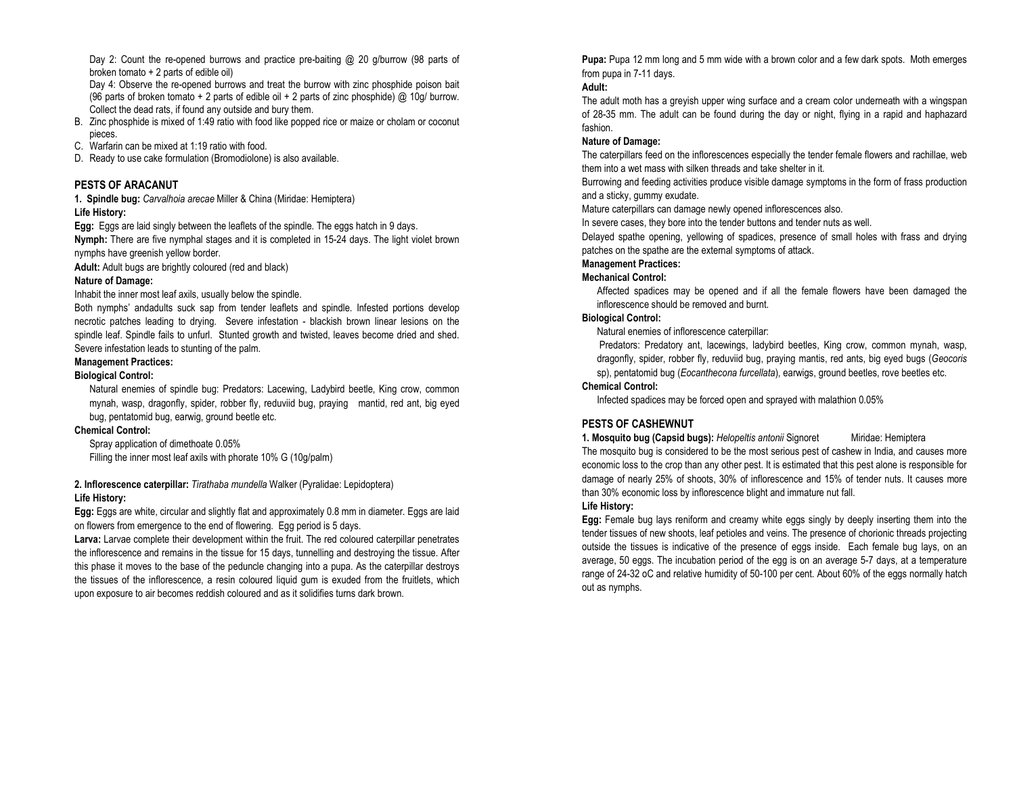Day 2: Count the re-opened burrows and practice pre-baiting @ 20 g/burrow (98 parts of broken tomato + 2 parts of edible oil)

 Day 4: Observe the re-opened burrows and treat the burrow with zinc phosphide poison bait (96 parts of broken tomato + 2 parts of edible oil + 2 parts of zinc phosphide) @ 10g/ burrow. Collect the dead rats, if found any outside and bury them.

- B. Zinc phosphide is mixed of 1:49 ratio with food like popped rice or maize or cholam or coconut pieces.
- C. Warfarin can be mixed at 1:19 ratio with food.
- D. Ready to use cake formulation (Bromodiolone) is also available.

## PESTS OF ARACANUT

**1. Spindle bug:** Carvalhoia arecae Miller & China (Miridae: Hemiptera) Life History:

Egg: Eggs are laid singly between the leaflets of the spindle. The eggs hatch in 9 days. Nymph: There are five nymphal stages and it is completed in 15-24 days. The light violet brown nymphs have greenish yellow border.

Adult: Adult bugs are brightly coloured (red and black)

## Nature of Damage:

Inhabit the inner most leaf axils, usually below the spindle.

Both nymphs' andadults suck sap from tender leaflets and spindle. Infested portions develop necrotic patches leading to drying. Severe infestation - blackish brown linear lesions on the spindle leaf. Spindle fails to unfurl. Stunted growth and twisted, leaves become dried and shed. Severe infestation leads to stunting of the palm.

## Management Practices:

#### Biological Control:

Natural enemies of spindle bug: Predators: Lacewing, Ladybird beetle, King crow, common mynah, wasp, dragonfly, spider, robber fly, reduviid bug, praying mantid, red ant, big eyed bug, pentatomid bug, earwig, ground beetle etc.

## Chemical Control:

Spray application of dimethoate 0.05% Filling the inner most leaf axils with phorate 10% G (10g/palm)

## 2. Inflorescence caterpillar: Tirathaba mundella Walker (Pyralidae: Lepidoptera) Life History:

Egg: Eggs are white, circular and slightly flat and approximately 0.8 mm in diameter. Eggs are laid on flowers from emergence to the end of flowering. Egg period is 5 days.

Larva: Larvae complete their development within the fruit. The red coloured caterpillar penetrates the inflorescence and remains in the tissue for 15 days, tunnelling and destroying the tissue. After this phase it moves to the base of the peduncle changing into a pupa. As the caterpillar destroys the tissues of the inflorescence, a resin coloured liquid gum is exuded from the fruitlets, which upon exposure to air becomes reddish coloured and as it solidifies turns dark brown.

Pupa: Pupa 12 mm long and 5 mm wide with a brown color and a few dark spots. Moth emerges from pupa in 7-11 days.

## Adult:

 The adult moth has a greyish upper wing surface and a cream color underneath with a wingspan of 28-35 mm. The adult can be found during the day or night, flying in a rapid and haphazard fashion.

## Nature of Damage:

The caterpillars feed on the inflorescences especially the tender female flowers and rachillae, web them into a wet mass with silken threads and take shelter in it.

 Burrowing and feeding activities produce visible damage symptoms in the form of frass production and a sticky, gummy exudate.

Mature caterpillars can damage newly opened inflorescences also.

In severe cases, they bore into the tender buttons and tender nuts as well.

Delayed spathe opening, yellowing of spadices, presence of small holes with frass and drying patches on the spathe are the external symptoms of attack.

## Management Practices:

#### Mechanical Control:

Affected spadices may be opened and if all the female flowers have been damaged the inflorescence should be removed and burnt.

## Biological Control:

Natural enemies of inflorescence caterpillar:

 Predators: Predatory ant, lacewings, ladybird beetles, King crow, common mynah, wasp, dragonfly, spider, robber fly, reduviid bug, praying mantis, red ants, big eyed bugs (Geocorissp), pentatomid bug (Eocanthecona furcellata), earwigs, ground beetles, rove beetles etc.

## Chemical Control:

Infected spadices may be forced open and sprayed with malathion 0.05%

## PESTS OF CASHEWNUT

1. Mosquito bug (Capsid bugs): Helopeltis antonii Signoret Miridae: Hemiptera The mosquito bug is considered to be the most serious pest of cashew in India, and causes more economic loss to the crop than any other pest. It is estimated that this pest alone is responsible for damage of nearly 25% of shoots, 30% of inflorescence and 15% of tender nuts. It causes more than 30% economic loss by inflorescence blight and immature nut fall.

## Life History:

Egg: Female bug lays reniform and creamy white eggs singly by deeply inserting them into the tender tissues of new shoots, leaf petioles and veins. The presence of chorionic threads projecting outside the tissues is indicative of the presence of eggs inside. Each female bug lays, on an average, 50 eggs. The incubation period of the egg is on an average 5-7 days, at a temperature range of 24-32 oC and relative humidity of 50-100 per cent. About 60% of the eggs normally hatch out as nymphs.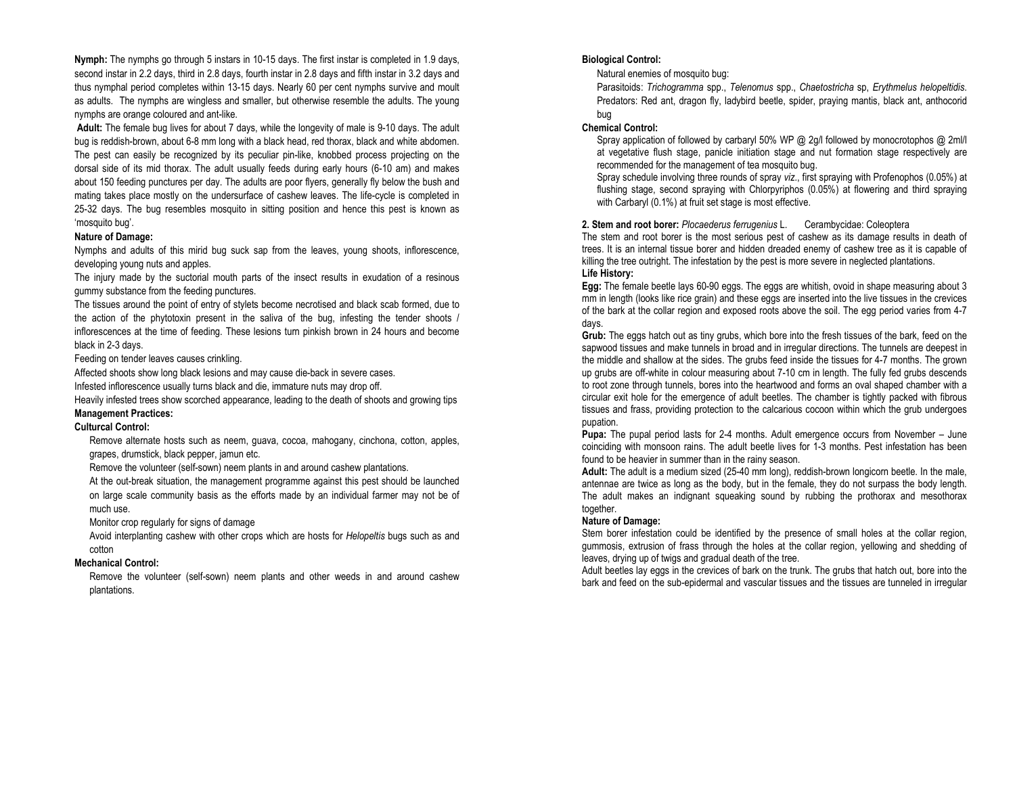Nymph: The nymphs go through 5 instars in 10-15 days. The first instar is completed in 1.9 days, second instar in 2.2 days, third in 2.8 days, fourth instar in 2.8 days and fifth instar in 3.2 days and thus nymphal period completes within 13-15 days. Nearly 60 per cent nymphs survive and moult as adults. The nymphs are wingless and smaller, but otherwise resemble the adults. The young nymphs are orange coloured and ant-like.

Adult: The female bug lives for about 7 days, while the longevity of male is 9-10 days. The adult bug is reddish-brown, about 6-8 mm long with a black head, red thorax, black and white abdomen. The pest can easily be recognized by its peculiar pin-like, knobbed process projecting on the dorsal side of its mid thorax. The adult usually feeds during early hours (6-10 am) and makes about 150 feeding punctures per day. The adults are poor flyers, generally fly below the bush and mating takes place mostly on the undersurface of cashew leaves. The life-cycle is completed in 25-32 days. The bug resembles mosquito in sitting position and hence this pest is known as 'mosquito bug'.

#### Nature of Damage:

Nymphs and adults of this mirid bug suck sap from the leaves, young shoots, inflorescence, developing young nuts and apples.

 The injury made by the suctorial mouth parts of the insect results in exudation of a resinous gummy substance from the feeding punctures.

The tissues around the point of entry of stylets become necrotised and black scab formed, due to the action of the phytotoxin present in the saliva of the bug, infesting the tender shoots / inflorescences at the time of feeding. These lesions turn pinkish brown in 24 hours and become black in 2-3 days.

Feeding on tender leaves causes crinkling.

Affected shoots show long black lesions and may cause die-back in severe cases.

Infested inflorescence usually turns black and die, immature nuts may drop off.

Heavily infested trees show scorched appearance, leading to the death of shoots and growing tipsManagement Practices:

#### Culturcal Control:

Remove alternate hosts such as neem, guava, cocoa, mahogany, cinchona, cotton, apples, grapes, drumstick, black pepper, jamun etc.

Remove the volunteer (self-sown) neem plants in and around cashew plantations.

At the out-break situation, the management programme against this pest should be launched on large scale community basis as the efforts made by an individual farmer may not be of much use.

Monitor crop regularly for signs of damage

Avoid interplanting cashew with other crops which are hosts for Helopeltis bugs such as and cotton

#### Mechanical Control:

Remove the volunteer (self-sown) neem plants and other weeds in and around cashew plantations.

#### Biological Control:

Natural enemies of mosquito bug:

 Parasitoids: Trichogramma spp., Telenomus spp., Chaetostricha sp, Erythmelus helopeltidis. Predators: Red ant, dragon fly, ladybird beetle, spider, praying mantis, black ant, anthocorid bug

#### Chemical Control:

 Spray application of followed by carbaryl 50% WP @ 2g/l followed by monocrotophos @ 2ml/l at vegetative flush stage, panicle initiation stage and nut formation stage respectively are recommended for the management of tea mosquito bug.

 Spray schedule involving three rounds of spray viz., first spraying with Profenophos (0.05%) at flushing stage, second spraying with Chlorpyriphos (0.05%) at flowering and third spraying with Carbaryl (0.1%) at fruit set stage is most effective.

#### 2. Stem and root borer: Plocaederus ferrugenius L. Cerambycidae: Coleoptera

 The stem and root borer is the most serious pest of cashew as its damage results in death of trees. It is an internal tissue borer and hidden dreaded enemy of cashew tree as it is capable of killing the tree outright. The infestation by the pest is more severe in neglected plantations. Life History:

Egg: The female beetle lays 60-90 eggs. The eggs are whitish, ovoid in shape measuring about 3 mm in length (looks like rice grain) and these eggs are inserted into the live tissues in the crevices of the bark at the collar region and exposed roots above the soil. The egg period varies from 4-7 days.

Grub: The eggs hatch out as tiny grubs, which bore into the fresh tissues of the bark, feed on the sapwood tissues and make tunnels in broad and in irregular directions. The tunnels are deepest in the middle and shallow at the sides. The grubs feed inside the tissues for 4-7 months. The grown up grubs are off-white in colour measuring about 7-10 cm in length. The fully fed grubs descends to root zone through tunnels, bores into the heartwood and forms an oval shaped chamber with a circular exit hole for the emergence of adult beetles. The chamber is tightly packed with fibrous tissues and frass, providing protection to the calcarious cocoon within which the grub undergoes pupation.

Pupa: The pupal period lasts for 2-4 months. Adult emergence occurs from November - June coinciding with monsoon rains. The adult beetle lives for 1-3 months. Pest infestation has been found to be heavier in summer than in the rainy season.

Adult: The adult is a medium sized (25-40 mm long), reddish-brown longicorn beetle. In the male, antennae are twice as long as the body, but in the female, they do not surpass the body length. The adult makes an indignant squeaking sound by rubbing the prothorax and mesothorax together.

#### Nature of Damage:

 Stem borer infestation could be identified by the presence of small holes at the collar region, gummosis, extrusion of frass through the holes at the collar region, yellowing and shedding of leaves, drying up of twigs and gradual death of the tree.

 Adult beetles lay eggs in the crevices of bark on the trunk. The grubs that hatch out, bore into the bark and feed on the sub-epidermal and vascular tissues and the tissues are tunneled in irregular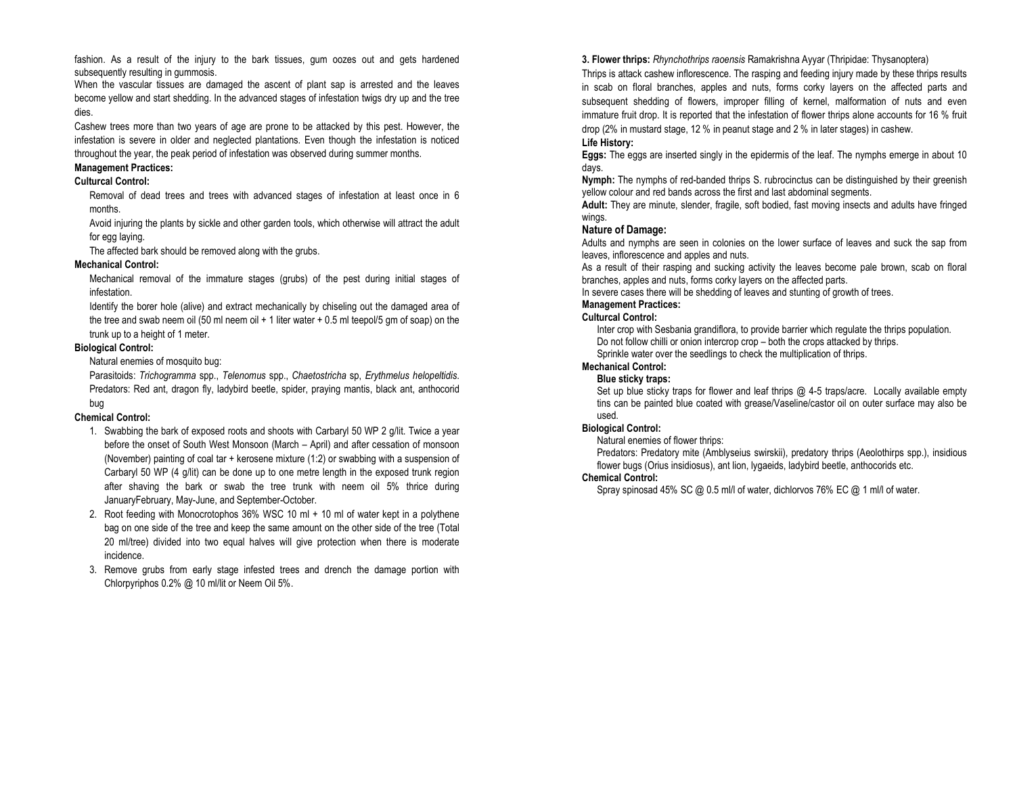fashion. As a result of the injury to the bark tissues, gum oozes out and gets hardened subsequently resulting in gummosis.

 When the vascular tissues are damaged the ascent of plant sap is arrested and the leaves become yellow and start shedding. In the advanced stages of infestation twigs dry up and the tree dies.

Cashew trees more than two years of age are prone to be attacked by this pest. However, the infestation is severe in older and neglected plantations. Even though the infestation is noticed throughout the year, the peak period of infestation was observed during summer months.

# Management Practices:

## Culturcal Control:

Removal of dead trees and trees with advanced stages of infestation at least once in 6 months.

Avoid injuring the plants by sickle and other garden tools, which otherwise will attract the adult for egg laying.

The affected bark should be removed along with the grubs.

## Mechanical Control:

Mechanical removal of the immature stages (grubs) of the pest during initial stages of infestation.

Identify the borer hole (alive) and extract mechanically by chiseling out the damaged area of the tree and swab neem oil (50 ml neem oil + 1 liter water + 0.5 ml teepol/5 gm of soap) on the trunk up to a height of 1 meter.

## Biological Control:

Natural enemies of mosquito bug:

Parasitoids: Trichogramma spp., Telenomus spp., Chaetostricha sp, Erythmelus helopeltidis.<br>Predators: Red ant, dragon fly, ladybird beetle, spider, praying mantis, black ant, anthocorid bug

## Chemical Control:

- 1. Swabbing the bark of exposed roots and shoots with Carbaryl 50 WP 2 g/lit. Twice a year before the onset of South West Monsoon (March – April) and after cessation of monsoon (November) painting of coal tar + kerosene mixture (1:2) or swabbing with a suspension of Carbaryl 50 WP (4 g/lit) can be done up to one metre length in the exposed trunk region after shaving the bark or swab the tree trunk with neem oil 5% thrice during JanuaryFebruary, May-June, and September-October.
- 2. Root feeding with Monocrotophos 36% WSC 10 ml + 10 ml of water kept in a polythene bag on one side of the tree and keep the same amount on the other side of the tree (Total 20 ml/tree) divided into two equal halves will give protection when there is moderate incidence.
- 3. Remove grubs from early stage infested trees and drench the damage portion with Chlorpyriphos 0.2% @ 10 ml/lit or Neem Oil 5%.

3. Flower thrips: Rhynchothrips raoensis Ramakrishna Ayyar (Thripidae: Thysanoptera)

Thrips is attack cashew inflorescence. The rasping and feeding injury made by these thrips results in scab on floral branches, apples and nuts, forms corky layers on the affected parts and subsequent shedding of flowers, improper filling of kernel, malformation of nuts and even immature fruit drop. It is reported that the infestation of flower thrips alone accounts for 16 % fruit drop (2% in mustard stage, 12 % in peanut stage and 2 % in later stages) in cashew.

## Life History:

Eggs: The eggs are inserted singly in the epidermis of the leaf. The nymphs emerge in about 10 days.

Nymph: The nymphs of red-banded thrips S. rubrocinctus can be distinguished by their greenish yellow colour and red bands across the first and last abdominal segments.

Adult: They are minute, slender, fragile, soft bodied, fast moving insects and adults have fringed wings.

## Nature of Damage:

 Adults and nymphs are seen in colonies on the lower surface of leaves and suck the sap from leaves, inflorescence and apples and nuts.

 As a result of their rasping and sucking activity the leaves become pale brown, scab on floral branches, apples and nuts, forms corky layers on the affected parts.

In severe cases there will be shedding of leaves and stunting of growth of trees.

# Management Practices:

## Culturcal Control:

 Inter crop with Sesbania grandiflora, to provide barrier which regulate the thrips population. Do not follow chilli or onion intercrop crop – both the crops attacked by thrips. Sprinkle water over the seedlings to check the multiplication of thrips.

#### Mechanical Control: Blue sticky traps:

Set up blue sticky traps for flower and leaf thrips @ 4-5 traps/acre. Locally available empty tins can be painted blue coated with grease/Vaseline/castor oil on outer surface may also be used.

# Biological Control:

Natural enemies of flower thrips:

 Predators: Predatory mite (Amblyseius swirskii), predatory thrips (Aeolothirps spp.), insidious flower bugs (Orius insidiosus), ant lion, lygaeids, ladybird beetle, anthocorids etc.

## Chemical Control:

Spray spinosad 45% SC @ 0.5 ml/l of water, dichlorvos 76% EC @ 1 ml/l of water.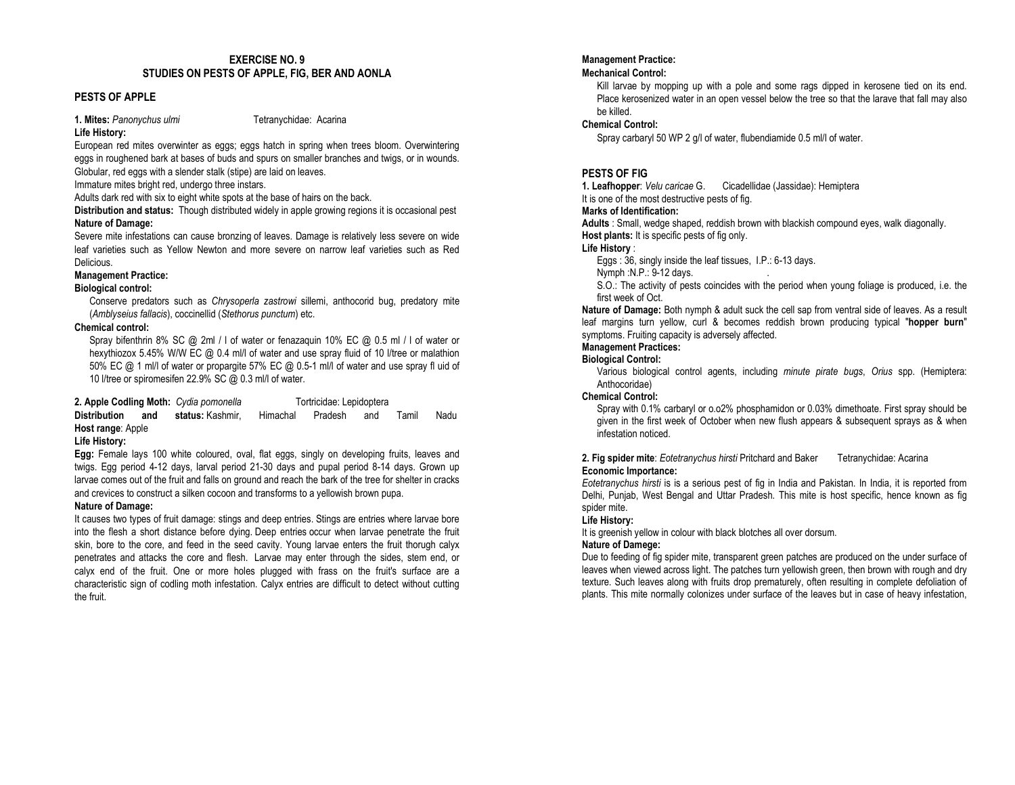## EXERCISE NO. 9 STUDIES ON PESTS OF APPLE, FIG, BER AND AONLA

## PESTS OF APPLE

1. Mites: Panonychus ulmi Tetranychidae: Acarina

## Life History:

 European red mites overwinter as eggs; eggs hatch in spring when trees bloom. Overwintering eggs in roughened bark at bases of buds and spurs on smaller branches and twigs, or in wounds.

Globular, red eggs with a slender stalk (stipe) are laid on leaves.

Immature mites bright red, undergo three instars.

Adults dark red with six to eight white spots at the base of hairs on the back.

Distribution and status: Though distributed widely in apple growing regions it is occasional pest Nature of Damage:

 Severe mite infestations can cause bronzing of leaves. Damage is relatively less severe on wide leaf varieties such as Yellow Newton and more severe on narrow leaf varieties such as Red Delicious.

## Management Practice:

## Biological control:

Conserve predators such as Chrysoperla zastrowi sillemi, anthocorid bug, predatory mite (Amblyseius fallacis), coccinellid (Stethorus punctum) etc.

## Chemical control:

 Spray bifenthrin 8% SC @ 2ml / l of water or fenazaquin 10% EC @ 0.5 ml / l of water or hexythiozox 5.45% W/W EC @ 0.4 ml/l of water and use spray fluid of 10 l/tree or malathion 50% EC @ 1 ml/l of water or propargite 57% EC @ 0.5-1 ml/l of water and use spray fl uid of 10 l/tree or spiromesifen 22.9% SC @ 0.3 ml/l of water.

2. Apple Codling Moth: Cydia pomonella Tortricidae: Lepidoptera Distribution and status: Kashmir, Himachal Pradesh and Tamil Nadu Host range: Apple

## Life History:

Egg: Female lays 100 white coloured, oval, flat eggs, singly on developing fruits, leaves and twigs. Egg period 4-12 days, larval period 21-30 days and pupal period 8-14 days. Grown up larvae comes out of the fruit and falls on ground and reach the bark of the tree for shelter in cracksand crevices to construct a silken cocoon and transforms to a yellowish brown pupa.

## Nature of Damage:

 It causes two types of fruit damage: stings and deep entries. Stings are entries where larvae bore into the flesh a short distance before dying. Deep entries occur when larvae penetrate the fruit skin, bore to the core, and feed in the seed cavity. Young larvae enters the fruit thorugh calyx penetrates and attacks the core and flesh. Larvae may enter through the sides, stem end, or calyx end of the fruit. One or more holes plugged with frass on the fruit's surface are a characteristic sign of codling moth infestation. Calyx entries are difficult to detect without cuttingthe fruit.

## Management Practice:

## Mechanical Control:

Kill larvae by mopping up with a pole and some rags dipped in kerosene tied on its end. Place kerosenized water in an open vessel below the tree so that the larave that fall may also be killed.

## Chemical Control:

Spray carbaryl 50 WP 2 g/l of water, flubendiamide 0.5 ml/l of water.

## PESTS OF FIG

1. Leafhopper: Velu caricae G. Cicadellidae (Jassidae): Hemiptera

It is one of the most destructive pests of fig.

#### Marks of Identification:

Adults : Small, wedge shaped, reddish brown with blackish compound eyes, walk diagonally. Host plants: It is specific pests of fig only.

## Life History :

Eggs : 36, singly inside the leaf tissues, I.P.: 6-13 days.

Nymph :N.P.: 9-12 days.<br>S.O.: The activity of pests coincides with the period when young foliage is produced, i.e. the first week of Oct.

Nature of Damage: Both nymph & adult suck the cell sap from ventral side of leaves. As a result leaf margins turn yellow, curl & becomes reddish brown producing typical "hopper burn" symptoms. Fruiting capacity is adversely affected.

## Management Practices:

## Biological Control:

 Various biological control agents, including minute pirate bugs, Orius spp. (Hemiptera: Anthocoridae)

## Chemical Control:

 Spray with 0.1% carbaryl or o.o2% phosphamidon or 0.03% dimethoate. First spray should be given in the first week of October when new flush appears & subsequent sprays as & when infestation noticed.

#### 2. Fig spider mite: Eotetranychus hirsti Pritchard and Baker Tetranychidae: Acarina Economic Importance:

 Eotetranychus hirsti is is a serious pest of fig in India and Pakistan. In India, it is reported from Delhi, Punjab, West Bengal and Uttar Pradesh. This mite is host specific, hence known as fig spider mite.

## Life History:

It is greenish yellow in colour with black blotches all over dorsum.

## Nature of Damege:

 Due to feeding of fig spider mite, transparent green patches are produced on the under surface of leaves when viewed across light. The patches turn yellowish green, then brown with rough and dry texture. Such leaves along with fruits drop prematurely, often resulting in complete defoliation of plants. This mite normally colonizes under surface of the leaves but in case of heavy infestation,